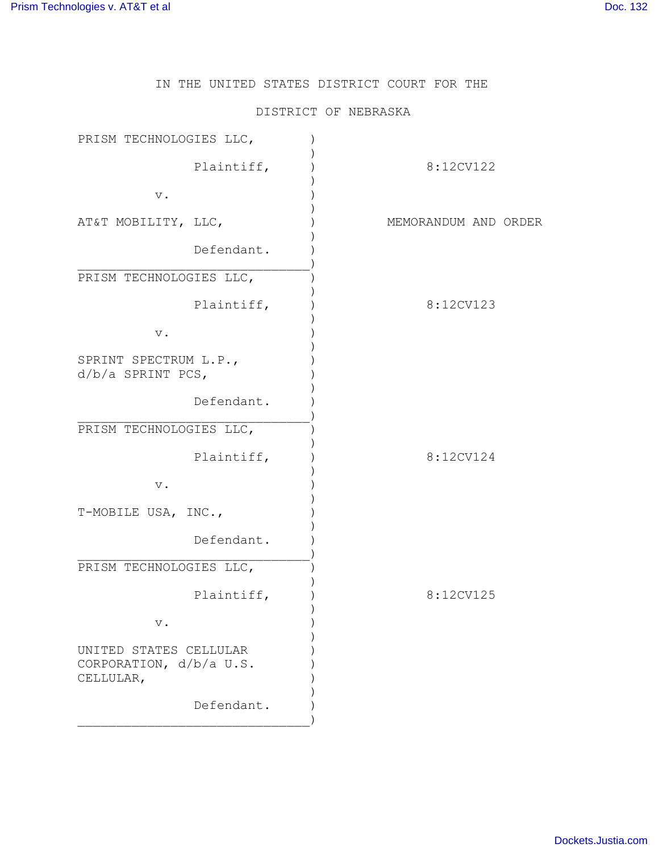IN THE UNITED STATES DISTRICT COURT FOR THE

## DISTRICT OF NEBRASKA

| PRISM TECHNOLOGIES LLC,                                        |                      |
|----------------------------------------------------------------|----------------------|
| Plaintiff,                                                     | 8:12CV122            |
| $\mathbf v$ .                                                  |                      |
| AT&T MOBILITY, LLC,                                            | MEMORANDUM AND ORDER |
| Defendant.                                                     |                      |
| PRISM TECHNOLOGIES LLC,                                        |                      |
| Plaintiff,                                                     | 8:12CV123            |
| $\mathbf v$ .                                                  |                      |
| SPRINT SPECTRUM L.P.,<br>$d/b/a$ SPRINT PCS,                   |                      |
| Defendant.                                                     |                      |
| PRISM TECHNOLOGIES LLC,                                        |                      |
| Plaintiff,                                                     | 8:12CV124            |
| $\mathbf v$ .                                                  |                      |
| T-MOBILE USA, INC.,                                            |                      |
| Defendant.                                                     |                      |
| PRISM TECHNOLOGIES LLC,                                        |                      |
| Plaintiff,                                                     | 8:12CV125            |
| $\mathbf v$ .                                                  |                      |
| UNITED STATES CELLULAR<br>CORPORATION, d/b/a U.S.<br>CELLULAR, |                      |
| Defendant.                                                     |                      |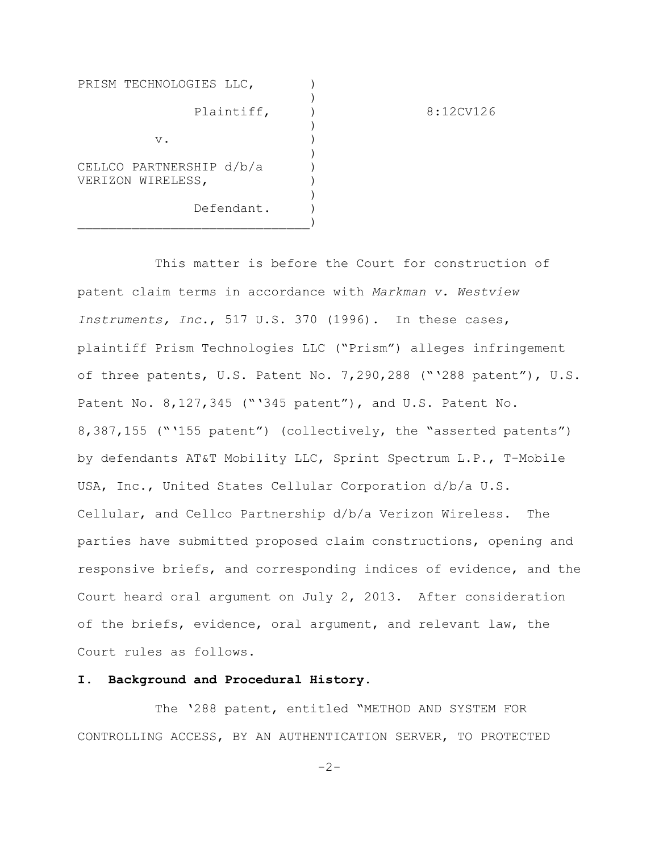| PRISM TECHNOLOGIES LLC,                       |           |
|-----------------------------------------------|-----------|
| Plaintiff,                                    | 8:12CV126 |
| $V$ .                                         |           |
| CELLCO PARTNERSHIP d/b/a<br>VERIZON WIRELESS, |           |
| Defendant.                                    |           |

This matter is before the Court for construction of patent claim terms in accordance with *Markman v. Westview Instruments, Inc.*, 517 U.S. 370 (1996). In these cases, plaintiff Prism Technologies LLC ("Prism") alleges infringement of three patents, U.S. Patent No. 7,290,288 ("'288 patent"), U.S. Patent No. 8,127,345 ("'345 patent"), and U.S. Patent No. 8,387,155 ("'155 patent") (collectively, the "asserted patents") by defendants AT&T Mobility LLC, Sprint Spectrum L.P., T-Mobile USA, Inc., United States Cellular Corporation d/b/a U.S. Cellular, and Cellco Partnership d/b/a Verizon Wireless. The parties have submitted proposed claim constructions, opening and responsive briefs, and corresponding indices of evidence, and the Court heard oral argument on July 2, 2013. After consideration of the briefs, evidence, oral argument, and relevant law, the Court rules as follows.

## **I. Background and Procedural History.**

The '288 patent, entitled "METHOD AND SYSTEM FOR CONTROLLING ACCESS, BY AN AUTHENTICATION SERVER, TO PROTECTED

 $-2-$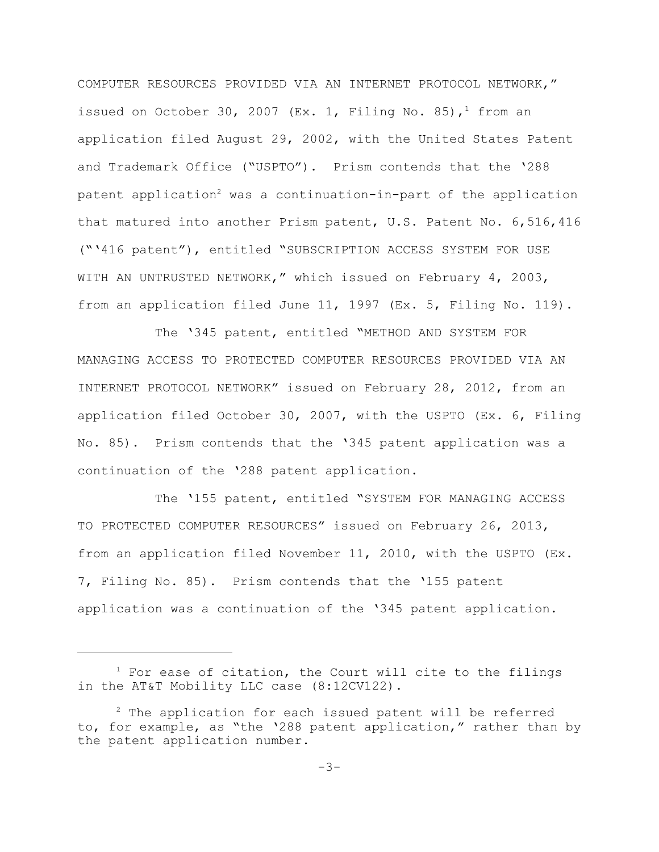COMPUTER RESOURCES PROVIDED VIA AN INTERNET PROTOCOL NETWORK," issued on October 30, 2007 (Ex. 1, Filing No. 85),<sup>1</sup> from an application filed August 29, 2002, with the United States Patent and Trademark Office ("USPTO"). Prism contends that the '288 patent application<sup>2</sup> was a continuation-in-part of the application that matured into another Prism patent, U.S. Patent No. 6,516,416 ("'416 patent"), entitled "SUBSCRIPTION ACCESS SYSTEM FOR USE WITH AN UNTRUSTED NETWORK," which issued on February 4, 2003, from an application filed June 11, 1997 (Ex. 5, Filing No. 119).

The '345 patent, entitled "METHOD AND SYSTEM FOR MANAGING ACCESS TO PROTECTED COMPUTER RESOURCES PROVIDED VIA AN INTERNET PROTOCOL NETWORK" issued on February 28, 2012, from an application filed October 30, 2007, with the USPTO (Ex. 6, Filing No. 85). Prism contends that the '345 patent application was a continuation of the '288 patent application.

The '155 patent, entitled "SYSTEM FOR MANAGING ACCESS TO PROTECTED COMPUTER RESOURCES" issued on February 26, 2013, from an application filed November 11, 2010, with the USPTO (Ex. 7, Filing No. 85). Prism contends that the '155 patent application was a continuation of the '345 patent application.

 $1$  For ease of citation, the Court will cite to the filings in the AT&T Mobility LLC case (8:12CV122).

 $2$  The application for each issued patent will be referred to, for example, as "the '288 patent application," rather than by the patent application number.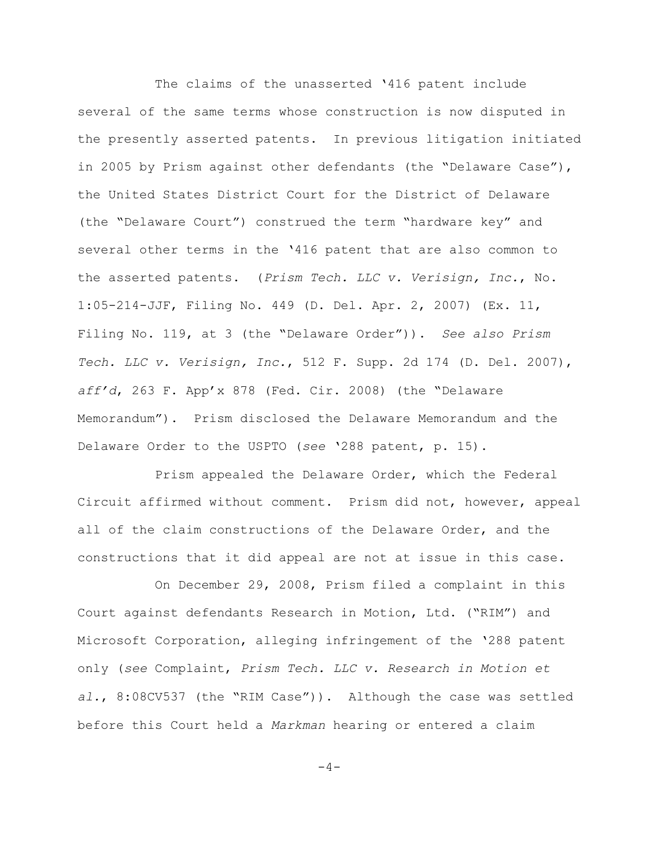The claims of the unasserted '416 patent include several of the same terms whose construction is now disputed in the presently asserted patents. In previous litigation initiated in 2005 by Prism against other defendants (the "Delaware Case"), the United States District Court for the District of Delaware (the "Delaware Court") construed the term "hardware key" and several other terms in the '416 patent that are also common to the asserted patents. (*Prism Tech. LLC v. Verisign, Inc.*, No. 1:05-214-JJF, Filing No. 449 (D. Del. Apr. 2, 2007) (Ex. 11, Filing No. 119, at 3 (the "Delaware Order")). *See also Prism Tech. LLC v. Verisign, Inc.*, 512 F. Supp. 2d 174 (D. Del. 2007), *aff'd*, 263 F. App'x 878 (Fed. Cir. 2008) (the "Delaware Memorandum"). Prism disclosed the Delaware Memorandum and the Delaware Order to the USPTO (*see* '288 patent, p. 15).

Prism appealed the Delaware Order, which the Federal Circuit affirmed without comment. Prism did not, however, appeal all of the claim constructions of the Delaware Order, and the constructions that it did appeal are not at issue in this case.

On December 29, 2008, Prism filed a complaint in this Court against defendants Research in Motion, Ltd. ("RIM") and Microsoft Corporation, alleging infringement of the '288 patent only (*see* Complaint, *Prism Tech. LLC v. Research in Motion et al.*, 8:08CV537 (the "RIM Case")). Although the case was settled before this Court held a *Markman* hearing or entered a claim

 $-4-$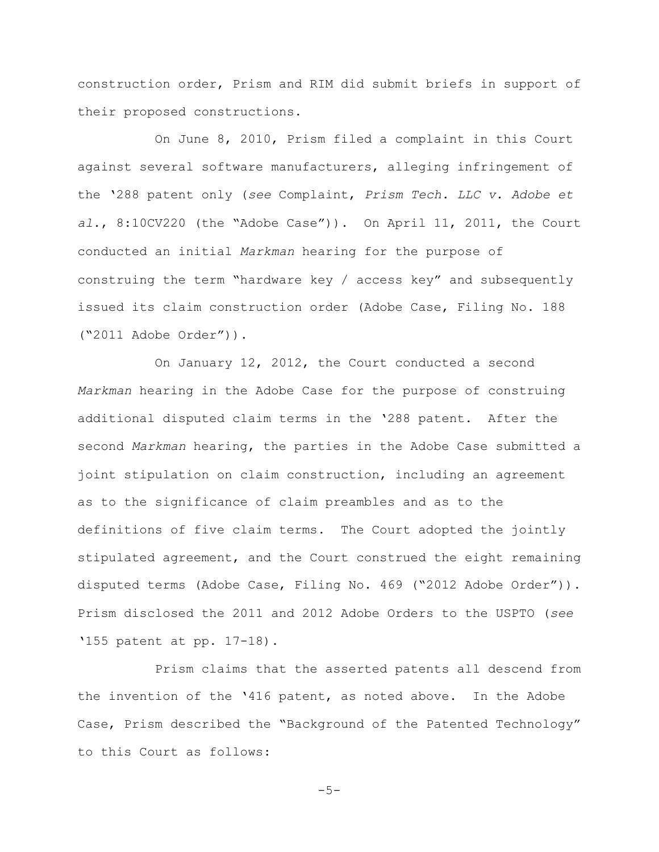construction order, Prism and RIM did submit briefs in support of their proposed constructions.

On June 8, 2010, Prism filed a complaint in this Court against several software manufacturers, alleging infringement of the '288 patent only (*see* Complaint, *Prism Tech. LLC v. Adobe et al.*, 8:10CV220 (the "Adobe Case")). On April 11, 2011, the Court conducted an initial *Markman* hearing for the purpose of construing the term "hardware key / access key" and subsequently issued its claim construction order (Adobe Case, Filing No. 188 ("2011 Adobe Order")).

On January 12, 2012, the Court conducted a second *Markman* hearing in the Adobe Case for the purpose of construing additional disputed claim terms in the '288 patent. After the second *Markman* hearing, the parties in the Adobe Case submitted a joint stipulation on claim construction, including an agreement as to the significance of claim preambles and as to the definitions of five claim terms. The Court adopted the jointly stipulated agreement, and the Court construed the eight remaining disputed terms (Adobe Case, Filing No. 469 ("2012 Adobe Order")). Prism disclosed the 2011 and 2012 Adobe Orders to the USPTO (*see* '155 patent at pp. 17-18).

Prism claims that the asserted patents all descend from the invention of the '416 patent, as noted above. In the Adobe Case, Prism described the "Background of the Patented Technology" to this Court as follows:

 $-5-$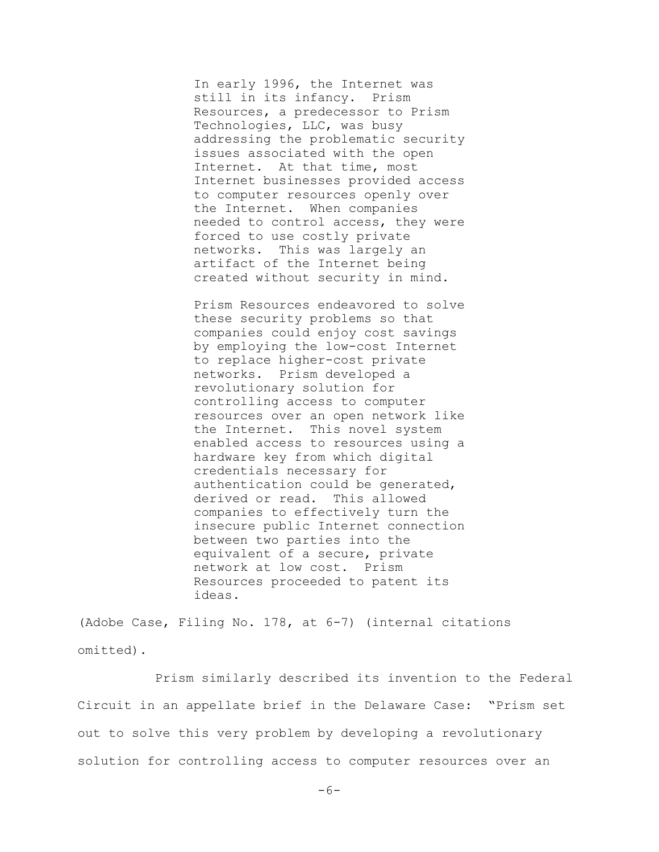In early 1996, the Internet was still in its infancy. Prism Resources, a predecessor to Prism Technologies, LLC, was busy addressing the problematic security issues associated with the open Internet. At that time, most Internet businesses provided access to computer resources openly over the Internet. When companies needed to control access, they were forced to use costly private networks. This was largely an artifact of the Internet being created without security in mind.

Prism Resources endeavored to solve these security problems so that companies could enjoy cost savings by employing the low-cost Internet to replace higher-cost private networks. Prism developed a revolutionary solution for controlling access to computer resources over an open network like the Internet. This novel system enabled access to resources using a hardware key from which digital credentials necessary for authentication could be generated, derived or read. This allowed companies to effectively turn the insecure public Internet connection between two parties into the equivalent of a secure, private network at low cost. Prism Resources proceeded to patent its ideas.

(Adobe Case, Filing No. 178, at 6-7) (internal citations omitted).

Prism similarly described its invention to the Federal Circuit in an appellate brief in the Delaware Case: "Prism set out to solve this very problem by developing a revolutionary solution for controlling access to computer resources over an

 $-6-$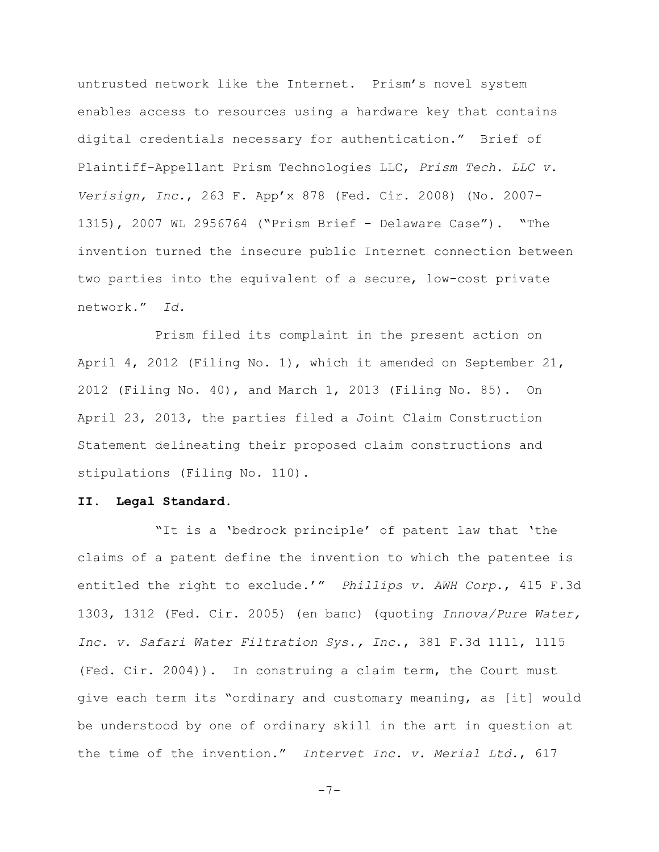untrusted network like the Internet. Prism's novel system enables access to resources using a hardware key that contains digital credentials necessary for authentication." Brief of Plaintiff-Appellant Prism Technologies LLC, *Prism Tech. LLC v. Verisign, Inc.*, 263 F. App'x 878 (Fed. Cir. 2008) (No. 2007- 1315), 2007 WL 2956764 ("Prism Brief - Delaware Case"). "The invention turned the insecure public Internet connection between two parties into the equivalent of a secure, low-cost private network." *Id.*

Prism filed its complaint in the present action on April 4, 2012 (Filing No. 1), which it amended on September 21, 2012 (Filing No. 40), and March 1, 2013 (Filing No. 85). On April 23, 2013, the parties filed a Joint Claim Construction Statement delineating their proposed claim constructions and stipulations (Filing No. 110).

#### **II. Legal Standard.**

"It is a 'bedrock principle' of patent law that 'the claims of a patent define the invention to which the patentee is entitled the right to exclude.'" *Phillips v. AWH Corp.*, 415 F.3d 1303, 1312 (Fed. Cir. 2005) (en banc) (quoting *Innova/Pure Water, Inc. v. Safari Water Filtration Sys., Inc*., 381 F.3d 1111, 1115 (Fed. Cir. 2004)). In construing a claim term, the Court must give each term its "ordinary and customary meaning, as [it] would be understood by one of ordinary skill in the art in question at the time of the invention." *Intervet Inc. v. Merial Ltd.*, 617

$$
-\,7\,-
$$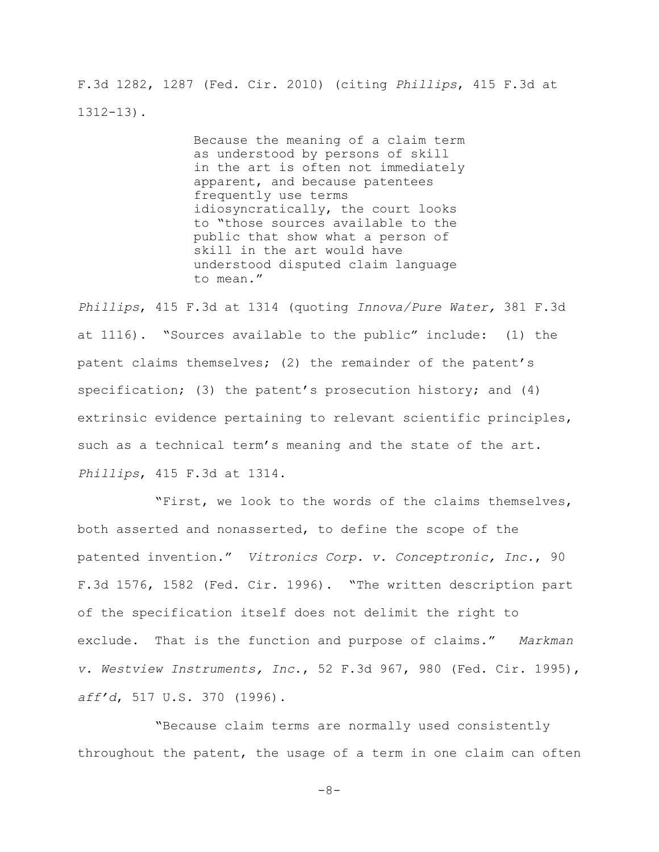F.3d 1282, 1287 (Fed. Cir. 2010) (citing *Phillips*, 415 F.3d at 1312-13).

> Because the meaning of a claim term as understood by persons of skill in the art is often not immediately apparent, and because patentees frequently use terms idiosyncratically, the court looks to "those sources available to the public that show what a person of skill in the art would have understood disputed claim language to mean."

*Phillips*, 415 F.3d at 1314 (quoting *Innova/Pure Water,* 381 F.3d at 1116). "Sources available to the public" include: (1) the patent claims themselves; (2) the remainder of the patent's specification; (3) the patent's prosecution history; and  $(4)$ extrinsic evidence pertaining to relevant scientific principles, such as a technical term's meaning and the state of the art. *Phillips*, 415 F.3d at 1314.

"First, we look to the words of the claims themselves, both asserted and nonasserted, to define the scope of the patented invention." *Vitronics Corp. v. Conceptronic, Inc.*, 90 F.3d 1576, 1582 (Fed. Cir. 1996). "The written description part of the specification itself does not delimit the right to exclude. That is the function and purpose of claims." *Markman v. Westview Instruments, Inc*., 52 F.3d 967, 980 (Fed. Cir. 1995), *aff'd*, 517 U.S. 370 (1996).

"Because claim terms are normally used consistently throughout the patent, the usage of a term in one claim can often

 $-8-$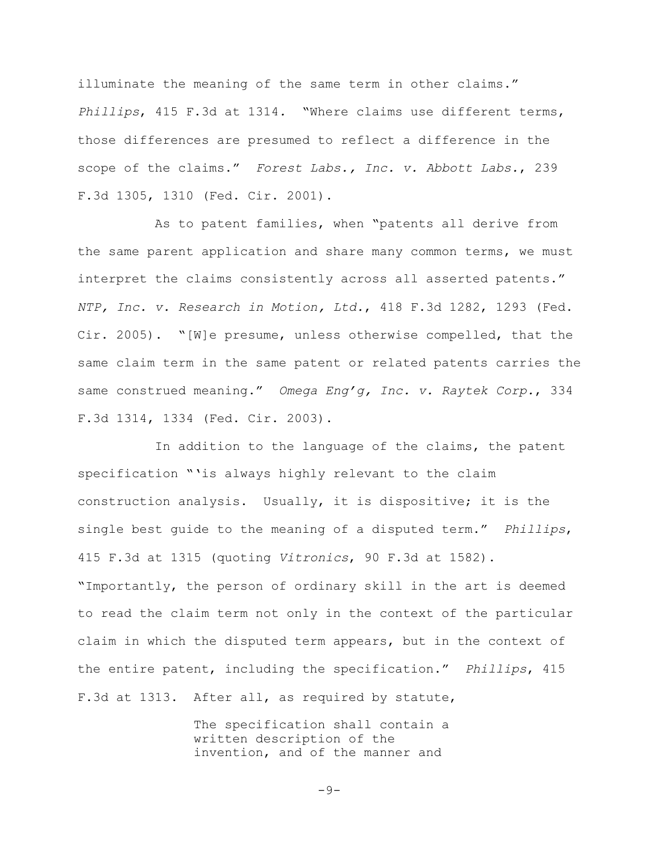illuminate the meaning of the same term in other claims." *Phillips*, 415 F.3d at 1314*.* "Where claims use different terms, those differences are presumed to reflect a difference in the scope of the claims." *Forest Labs., Inc. v. Abbott Labs.*, 239 F.3d 1305, 1310 (Fed. Cir. 2001).

As to patent families, when "patents all derive from the same parent application and share many common terms, we must interpret the claims consistently across all asserted patents." *NTP, Inc. v. Research in Motion, Ltd.*, 418 F.3d 1282, 1293 (Fed. Cir. 2005). "[W]e presume, unless otherwise compelled, that the same claim term in the same patent or related patents carries the same construed meaning." *Omega Eng'g, Inc. v. Raytek Corp.*, 334 F.3d 1314, 1334 (Fed. Cir. 2003).

In addition to the language of the claims, the patent specification "'is always highly relevant to the claim construction analysis. Usually, it is dispositive; it is the single best guide to the meaning of a disputed term." *Phillips*, 415 F.3d at 1315 (quoting *Vitronics*, 90 F.3d at 1582). "Importantly, the person of ordinary skill in the art is deemed to read the claim term not only in the context of the particular claim in which the disputed term appears, but in the context of the entire patent, including the specification." *Phillips*, 415 F.3d at 1313. After all, as required by statute,

> The specification shall contain a written description of the invention, and of the manner and

> > $-9-$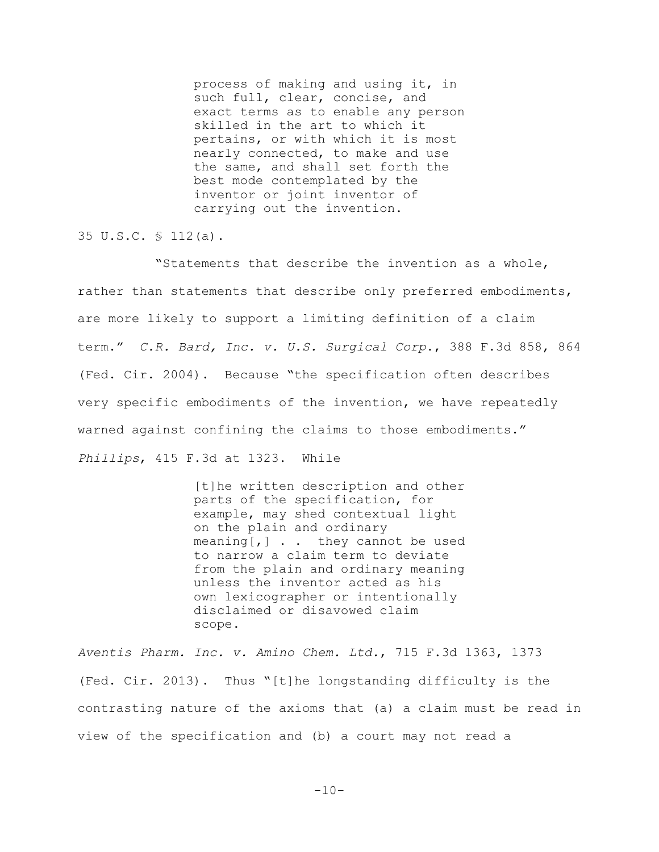process of making and using it, in such full, clear, concise, and exact terms as to enable any person skilled in the art to which it pertains, or with which it is most nearly connected, to make and use the same, and shall set forth the best mode contemplated by the inventor or joint inventor of carrying out the invention.

35 U.S.C. § 112(a).

"Statements that describe the invention as a whole, rather than statements that describe only preferred embodiments, are more likely to support a limiting definition of a claim term." *C.R. Bard, Inc. v. U.S. Surgical Corp*., 388 F.3d 858, 864 (Fed. Cir. 2004). Because "the specification often describes very specific embodiments of the invention, we have repeatedly warned against confining the claims to those embodiments." *Phillips*, 415 F.3d at 1323. While

> [t]he written description and other parts of the specification, for example, may shed contextual light on the plain and ordinary  $meaning[,]$  . . they cannot be used to narrow a claim term to deviate from the plain and ordinary meaning unless the inventor acted as his own lexicographer or intentionally disclaimed or disavowed claim scope.

*Aventis Pharm. Inc. v. Amino Chem. Ltd.*, 715 F.3d 1363, 1373 (Fed. Cir. 2013). Thus "[t]he longstanding difficulty is the contrasting nature of the axioms that (a) a claim must be read in view of the specification and (b) a court may not read a

 $-10-$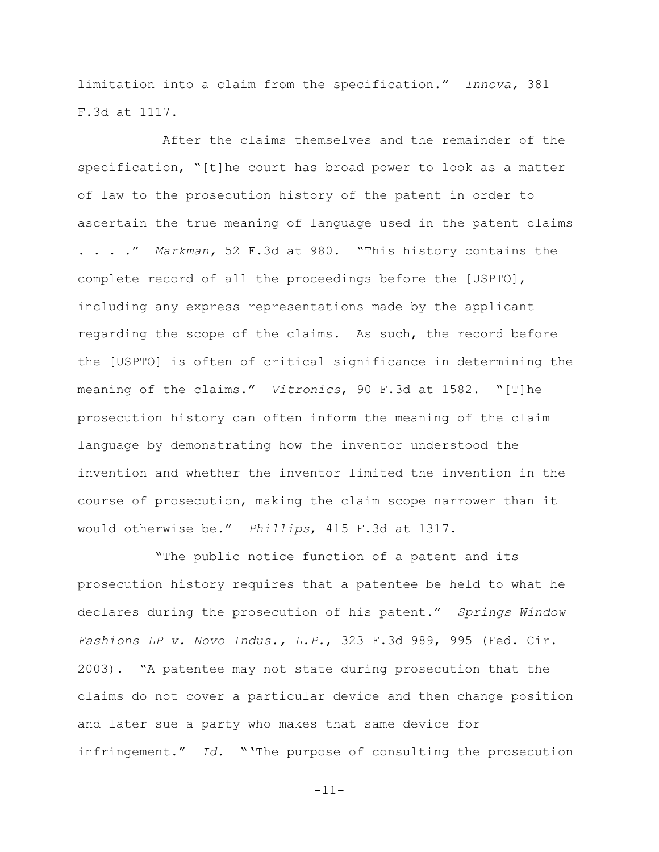limitation into a claim from the specification." *Innova,* 381 F.3d at 1117.

 After the claims themselves and the remainder of the specification, "[t]he court has broad power to look as a matter of law to the prosecution history of the patent in order to ascertain the true meaning of language used in the patent claims . . . ." *Markman,* 52 F.3d at 980. "This history contains the complete record of all the proceedings before the [USPTO], including any express representations made by the applicant regarding the scope of the claims. As such, the record before the [USPTO] is often of critical significance in determining the meaning of the claims." *Vitronics*, 90 F.3d at 1582. "[T]he prosecution history can often inform the meaning of the claim language by demonstrating how the inventor understood the invention and whether the inventor limited the invention in the course of prosecution, making the claim scope narrower than it would otherwise be." *Phillips*, 415 F.3d at 1317.

"The public notice function of a patent and its prosecution history requires that a patentee be held to what he declares during the prosecution of his patent." *Springs Window Fashions LP v. Novo Indus., L.P.*, 323 F.3d 989, 995 (Fed. Cir. 2003). "A patentee may not state during prosecution that the claims do not cover a particular device and then change position and later sue a party who makes that same device for infringement." *Id*. "'The purpose of consulting the prosecution

-11-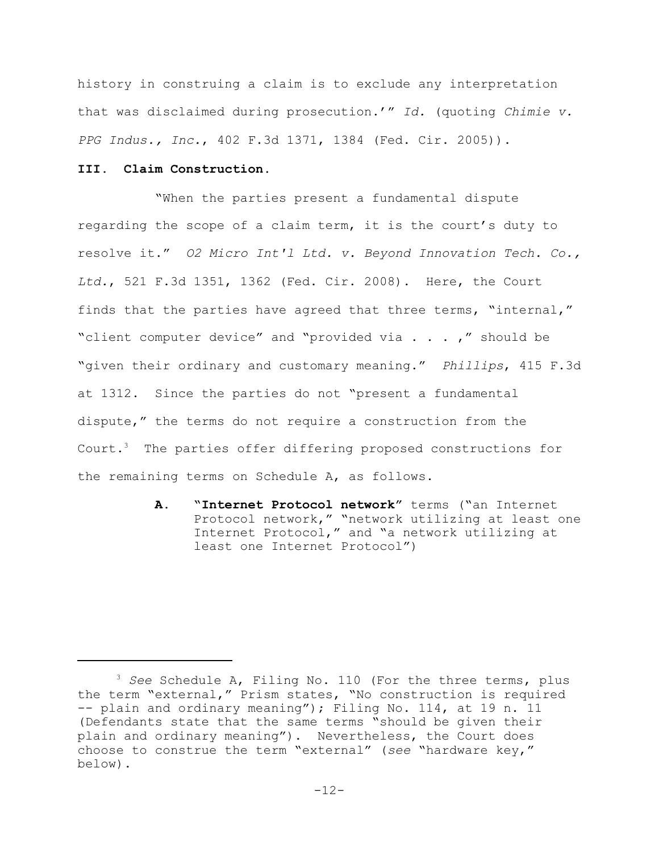history in construing a claim is to exclude any interpretation that was disclaimed during prosecution.'" *Id.* (quoting *Chimie v. PPG Indus., Inc.*, 402 F.3d 1371, 1384 (Fed. Cir. 2005)).

## **III. Claim Construction.**

"When the parties present a fundamental dispute regarding the scope of a claim term, it is the court's duty to resolve it." *O2 Micro Int'l Ltd. v. Beyond Innovation Tech. Co., Ltd.*, 521 F.3d 1351, 1362 (Fed. Cir. 2008). Here, the Court finds that the parties have agreed that three terms, "internal," "client computer device" and "provided via . . . ," should be "given their ordinary and customary meaning." *Phillips*, 415 F.3d at 1312. Since the parties do not "present a fundamental dispute," the terms do not require a construction from the Court.<sup>3</sup> The parties offer differing proposed constructions for the remaining terms on Schedule A, as follows.

> **A. "Internet Protocol network"** terms ("an Internet Protocol network," "network utilizing at least one Internet Protocol," and "a network utilizing at least one Internet Protocol")

<sup>3</sup> *See* Schedule A, Filing No. 110 (For the three terms, plus the term "external," Prism states, "No construction is required -- plain and ordinary meaning"); Filing No. 114, at 19 n. 11 (Defendants state that the same terms "should be given their plain and ordinary meaning"). Nevertheless, the Court does choose to construe the term "external" (*see* "hardware key," below).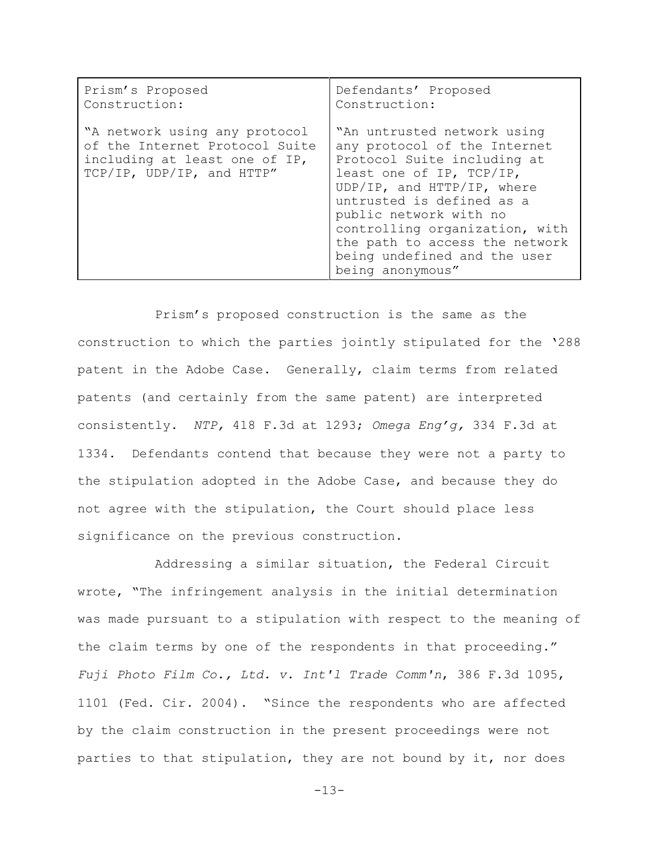| Prism's Proposed                                                                                                              | Defendants' Proposed                                                                                                                                                                                                                                                                                                                |
|-------------------------------------------------------------------------------------------------------------------------------|-------------------------------------------------------------------------------------------------------------------------------------------------------------------------------------------------------------------------------------------------------------------------------------------------------------------------------------|
| Construction:                                                                                                                 | Construction:                                                                                                                                                                                                                                                                                                                       |
| "A network using any protocol<br>of the Internet Protocol Suite<br>including at least one of IP,<br>TCP/IP, UDP/IP, and HTTP" | "An untrusted network using<br>any protocol of the Internet<br>Protocol Suite including at<br>least one of IP, TCP/IP,<br>UDP/IP, and HTTP/IP, where<br>untrusted is defined as a<br>public network with no<br>controlling organization, with<br>the path to access the network<br>being undefined and the user<br>being anonymous" |

Prism's proposed construction is the same as the construction to which the parties jointly stipulated for the '288 patent in the Adobe Case. Generally, claim terms from related patents (and certainly from the same patent) are interpreted consistently. *NTP,* 418 F.3d at 1293; *Omega Eng'g,* 334 F.3d at 1334. Defendants contend that because they were not a party to the stipulation adopted in the Adobe Case, and because they do not agree with the stipulation, the Court should place less significance on the previous construction.

Addressing a similar situation, the Federal Circuit wrote, "The infringement analysis in the initial determination was made pursuant to a stipulation with respect to the meaning of the claim terms by one of the respondents in that proceeding." *Fuji Photo Film Co., Ltd. v. Int'l Trade Comm'n*, 386 F.3d 1095, 1101 (Fed. Cir. 2004). "Since the respondents who are affected by the claim construction in the present proceedings were not parties to that stipulation, they are not bound by it, nor does

 $-13-$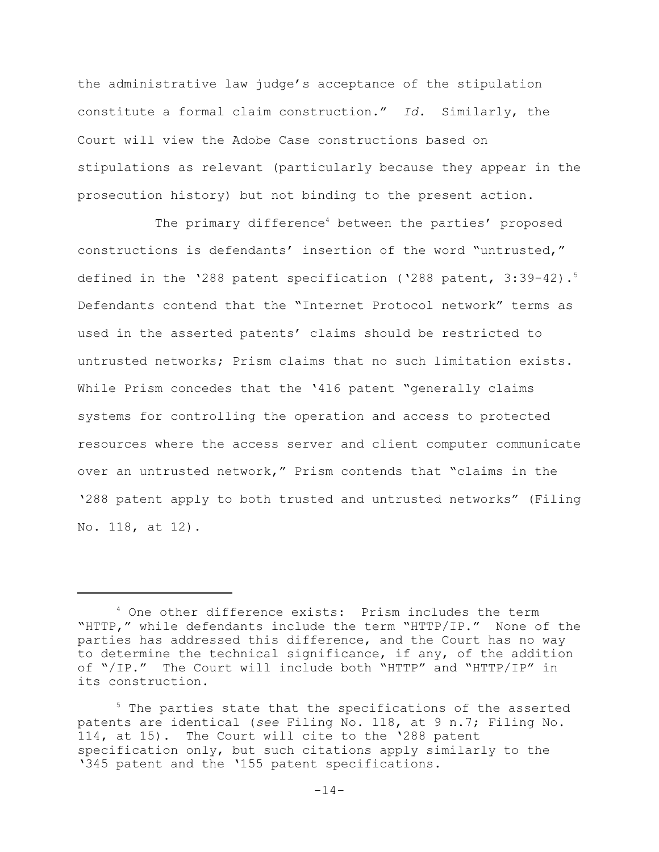the administrative law judge's acceptance of the stipulation constitute a formal claim construction." *Id.* Similarly, the Court will view the Adobe Case constructions based on stipulations as relevant (particularly because they appear in the prosecution history) but not binding to the present action.

The primary difference<sup>4</sup> between the parties' proposed constructions is defendants' insertion of the word "untrusted," defined in the '288 patent specification ('288 patent, 3:39-42).<sup>5</sup> Defendants contend that the "Internet Protocol network" terms as used in the asserted patents' claims should be restricted to untrusted networks; Prism claims that no such limitation exists. While Prism concedes that the '416 patent "generally claims systems for controlling the operation and access to protected resources where the access server and client computer communicate over an untrusted network," Prism contends that "claims in the '288 patent apply to both trusted and untrusted networks" (Filing No. 118, at 12).

<sup>4</sup> One other difference exists: Prism includes the term "HTTP," while defendants include the term "HTTP/IP." None of the parties has addressed this difference, and the Court has no way to determine the technical significance, if any, of the addition of "/IP." The Court will include both "HTTP" and "HTTP/IP" in its construction.

<sup>&</sup>lt;sup>5</sup> The parties state that the specifications of the asserted patents are identical (*see* Filing No. 118, at 9 n.7; Filing No. 114, at 15). The Court will cite to the '288 patent specification only, but such citations apply similarly to the '345 patent and the '155 patent specifications.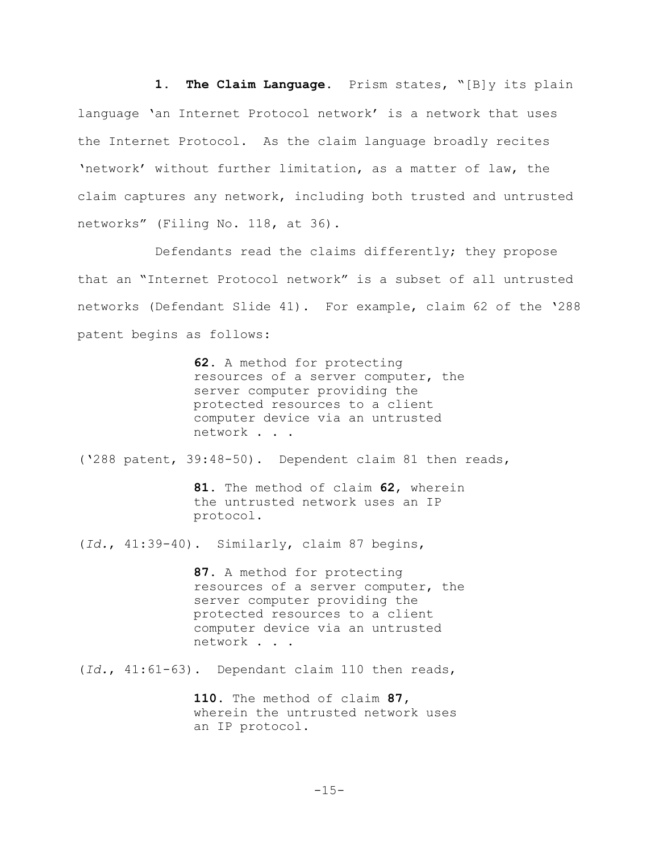**1. The Claim Language.** Prism states, "[B]y its plain language 'an Internet Protocol network' is a network that uses the Internet Protocol. As the claim language broadly recites 'network' without further limitation, as a matter of law, the claim captures any network, including both trusted and untrusted networks" (Filing No. 118, at 36).

Defendants read the claims differently; they propose that an "Internet Protocol network" is a subset of all untrusted networks (Defendant Slide 41). For example, claim 62 of the '288 patent begins as follows:

> **62.** A method for protecting resources of a server computer, the server computer providing the protected resources to a client computer device via an untrusted network . . .

('288 patent, 39:48-50). Dependent claim 81 then reads,

**81.** The method of claim **62**, wherein the untrusted network uses an IP protocol.

(*Id.*, 41:39-40). Similarly, claim 87 begins,

**87.** A method for protecting resources of a server computer, the server computer providing the protected resources to a client computer device via an untrusted network . . .

(*Id.*, 41:61-63).Dependant claim 110 then reads,

**110.** The method of claim **87,** wherein the untrusted network uses an IP protocol.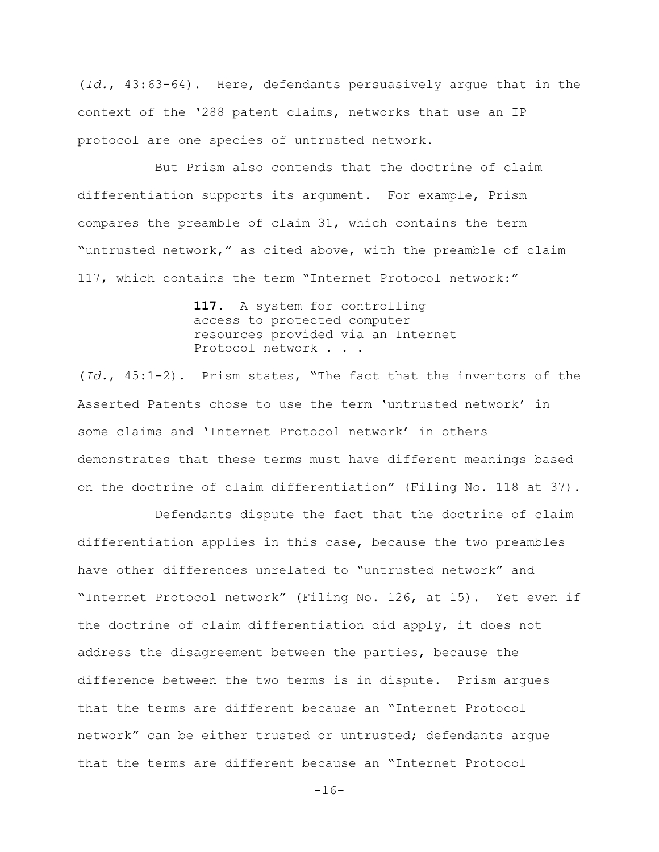(*Id.*, 43:63-64). Here, defendants persuasively argue that in the context of the '288 patent claims, networks that use an IP protocol are one species of untrusted network.

But Prism also contends that the doctrine of claim differentiation supports its argument. For example, Prism compares the preamble of claim 31, which contains the term "untrusted network," as cited above, with the preamble of claim 117, which contains the term "Internet Protocol network:"

> **117.** A system for controlling access to protected computer resources provided via an Internet Protocol network . . .

(*Id.*, 45:1-2). Prism states, "The fact that the inventors of the Asserted Patents chose to use the term 'untrusted network' in some claims and 'Internet Protocol network' in others demonstrates that these terms must have different meanings based on the doctrine of claim differentiation" (Filing No. 118 at 37).

Defendants dispute the fact that the doctrine of claim differentiation applies in this case, because the two preambles have other differences unrelated to "untrusted network" and "Internet Protocol network" (Filing No. 126, at 15). Yet even if the doctrine of claim differentiation did apply, it does not address the disagreement between the parties, because the difference between the two terms is in dispute. Prism argues that the terms are different because an "Internet Protocol network" can be either trusted or untrusted; defendants argue that the terms are different because an "Internet Protocol

 $-16-$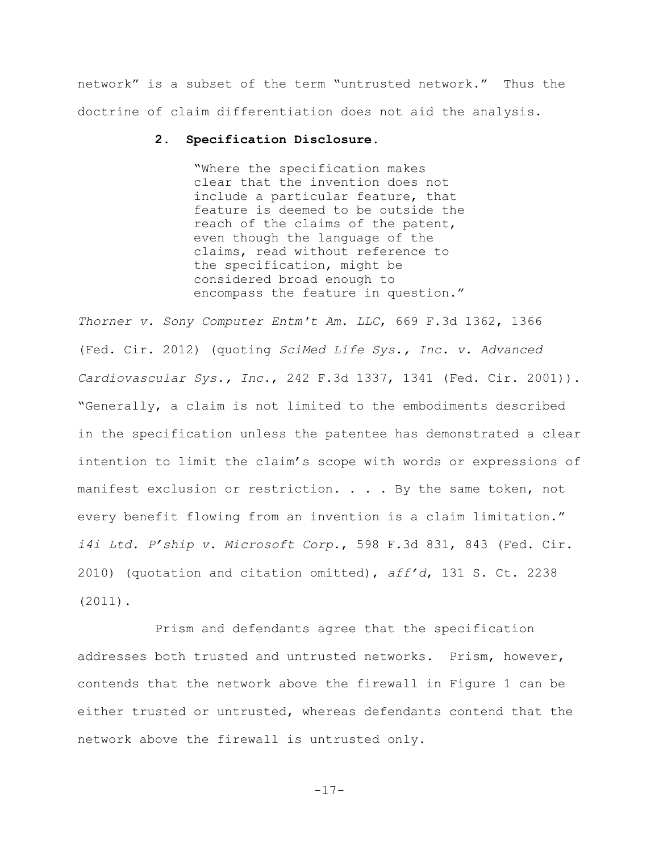network" is a subset of the term "untrusted network." Thus the doctrine of claim differentiation does not aid the analysis.

#### **2. Specification Disclosure.**

"Where the specification makes clear that the invention does not include a particular feature, that feature is deemed to be outside the reach of the claims of the patent, even though the language of the claims, read without reference to the specification, might be considered broad enough to encompass the feature in question."

*Thorner v. Sony Computer Entm't Am. LLC*, 669 F.3d 1362, 1366 (Fed. Cir. 2012) (quoting *SciMed Life Sys., Inc. v. Advanced Cardiovascular Sys., Inc*., 242 F.3d 1337, 1341 (Fed. Cir. 2001)). "Generally, a claim is not limited to the embodiments described in the specification unless the patentee has demonstrated a clear intention to limit the claim's scope with words or expressions of manifest exclusion or restriction. . . . By the same token, not every benefit flowing from an invention is a claim limitation." *i4i Ltd. P'ship v. Microsoft Corp*., 598 F.3d 831, 843 (Fed. Cir. 2010) (quotation and citation omitted), *aff'd*, 131 S. Ct. 2238 (2011).

Prism and defendants agree that the specification addresses both trusted and untrusted networks. Prism, however, contends that the network above the firewall in Figure 1 can be either trusted or untrusted, whereas defendants contend that the network above the firewall is untrusted only.

```
-17-
```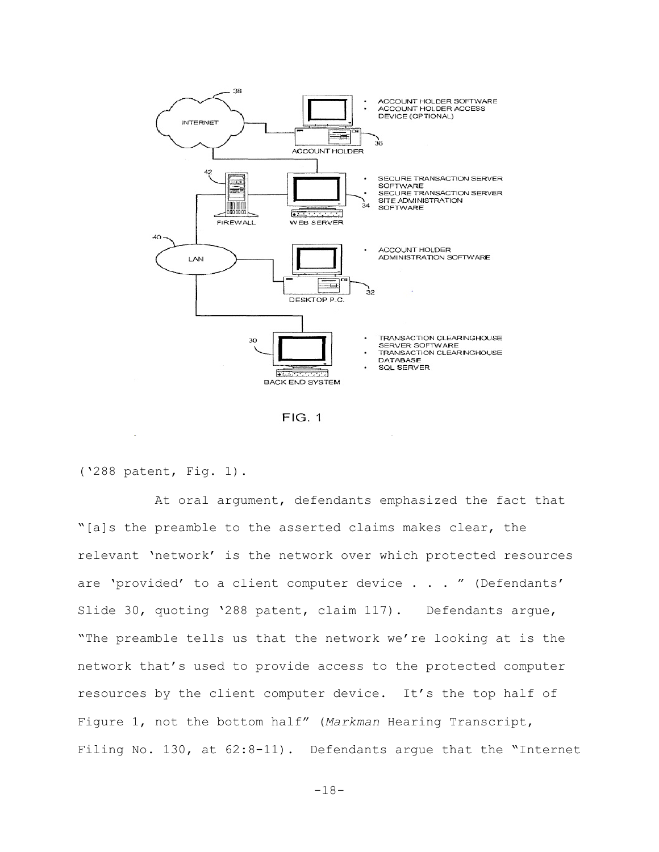

**FIG. 1** 

('288 patent, Fig. 1).

At oral argument, defendants emphasized the fact that "[a]s the preamble to the asserted claims makes clear, the relevant 'network' is the network over which protected resources are 'provided' to a client computer device . . . " (Defendants' Slide 30, quoting '288 patent, claim 117). Defendants argue, "The preamble tells us that the network we're looking at is the network that's used to provide access to the protected computer resources by the client computer device. It's the top half of Figure 1, not the bottom half" (*Markman* Hearing Transcript, Filing No. 130, at 62:8-11). Defendants argue that the "Internet

 $-18-$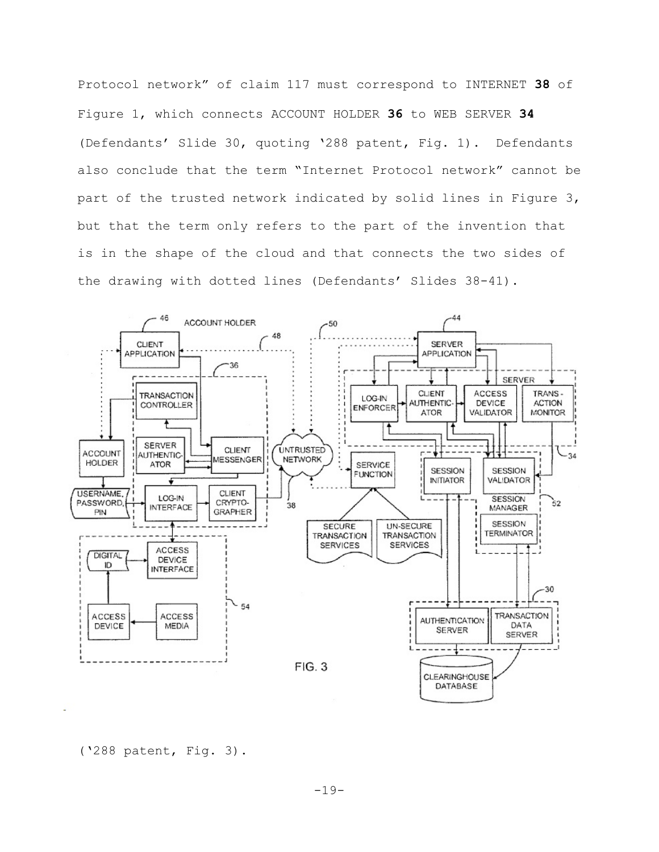Protocol network" of claim 117 must correspond to INTERNET **38** of Figure 1, which connects ACCOUNT HOLDER **36** to WEB SERVER **34** (Defendants' Slide 30, quoting '288 patent, Fig. 1). Defendants also conclude that the term "Internet Protocol network" cannot be part of the trusted network indicated by solid lines in Figure 3, but that the term only refers to the part of the invention that is in the shape of the cloud and that connects the two sides of the drawing with dotted lines (Defendants' Slides 38-41).



('288 patent, Fig. 3).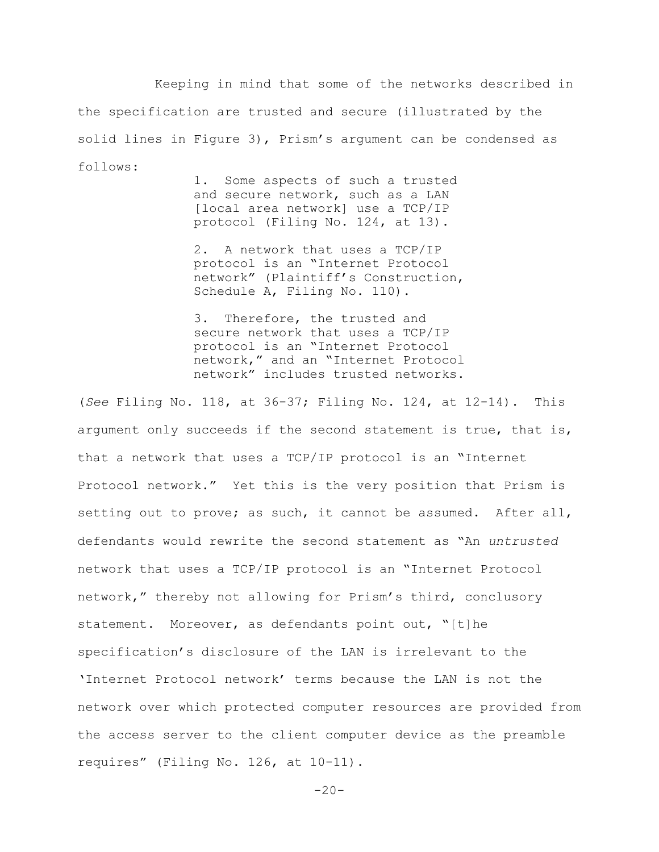Keeping in mind that some of the networks described in the specification are trusted and secure (illustrated by the solid lines in Figure 3), Prism's argument can be condensed as follows:

1. Some aspects of such a trusted and secure network, such as a LAN [local area network] use a TCP/IP protocol (Filing No. 124, at 13).

2. A network that uses a TCP/IP protocol is an "Internet Protocol network" (Plaintiff's Construction, Schedule A, Filing No. 110).

3. Therefore, the trusted and secure network that uses a TCP/IP protocol is an "Internet Protocol network," and an "Internet Protocol network" includes trusted networks.

(*See* Filing No. 118, at 36-37; Filing No. 124, at 12-14). This argument only succeeds if the second statement is true, that is, that a network that uses a TCP/IP protocol is an "Internet Protocol network." Yet this is the very position that Prism is setting out to prove; as such, it cannot be assumed. After all, defendants would rewrite the second statement as "An *untrusted* network that uses a TCP/IP protocol is an "Internet Protocol network," thereby not allowing for Prism's third, conclusory statement. Moreover, as defendants point out, "[t]he specification's disclosure of the LAN is irrelevant to the 'Internet Protocol network' terms because the LAN is not the network over which protected computer resources are provided from the access server to the client computer device as the preamble requires" (Filing No. 126, at 10-11).

 $-20-$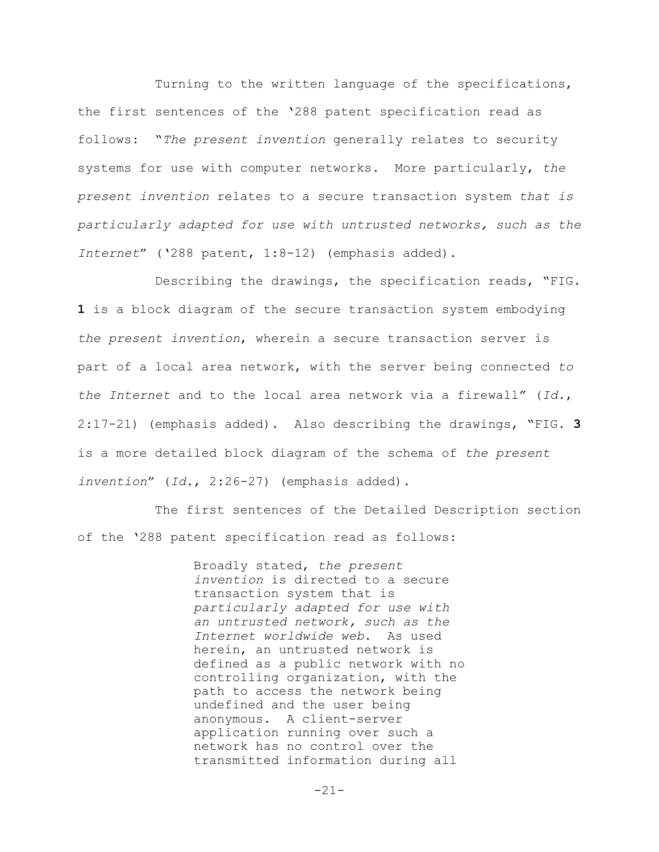Turning to the written language of the specifications, the first sentences of the '288 patent specification read as follows: "*The present invention* generally relates to security systems for use with computer networks. More particularly, *the present invention* relates to a secure transaction system *that is particularly adapted for use with untrusted networks, such as the Internet*" ('288 patent, 1:8-12) (emphasis added).

Describing the drawings, the specification reads, "FIG. **1** is a block diagram of the secure transaction system embodying *the present invention*, wherein a secure transaction server is part of a local area network, with the server being connected *to the Internet* and to the local area network via a firewall" (*Id.*, 2:17-21) (emphasis added). Also describing the drawings, "FIG. **3** is a more detailed block diagram of the schema of *the present invention*" (*Id.*, 2:26-27) (emphasis added).

The first sentences of the Detailed Description section of the '288 patent specification read as follows:

> Broadly stated, *the present invention* is directed to a secure transaction system that is *particularly adapted for use with an untrusted network, such as the Internet worldwide web*. As used herein, an untrusted network is defined as a public network with no controlling organization, with the path to access the network being undefined and the user being anonymous. A client-server application running over such a network has no control over the transmitted information during all

> > $-21-$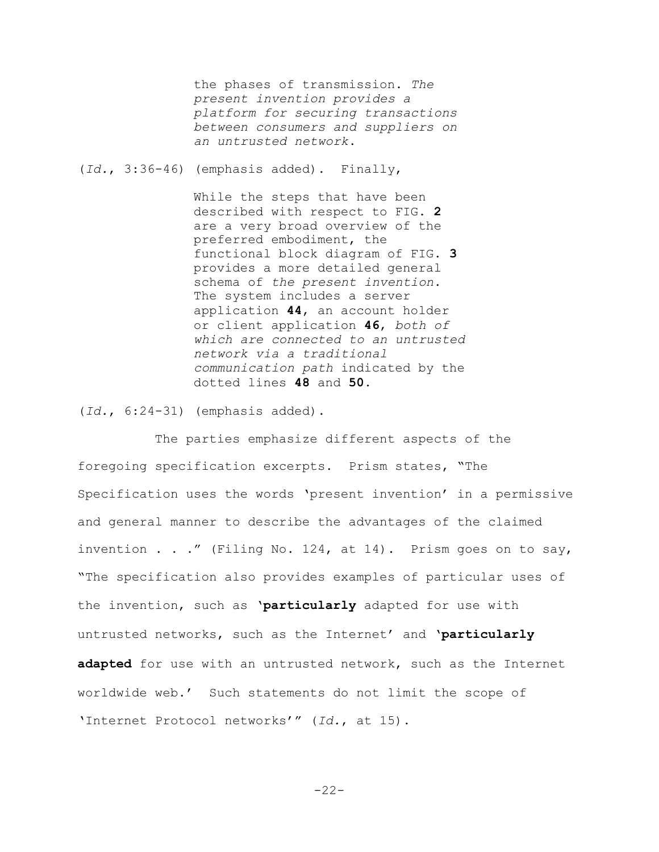the phases of transmission. *The present invention provides a platform for securing transactions between consumers and suppliers on an untrusted network*.

(*Id.*, 3:36-46) (emphasis added). Finally,

While the steps that have been described with respect to FIG. **2** are a very broad overview of the preferred embodiment, the functional block diagram of FIG. **3** provides a more detailed general schema of *the present invention*. The system includes a server application **44**, an account holder or client application **46**, *both of which are connected to an untrusted network via a traditional communication path* indicated by the dotted lines **48** and **50**.

(*Id.*, 6:24-31) (emphasis added).

The parties emphasize different aspects of the foregoing specification excerpts. Prism states, "The Specification uses the words 'present invention' in a permissive and general manner to describe the advantages of the claimed invention . . ." (Filing No. 124, at 14). Prism goes on to say, "The specification also provides examples of particular uses of the invention, such as '**particularly** adapted for use with untrusted networks, such as the Internet' and '**particularly adapted** for use with an untrusted network, such as the Internet worldwide web.' Such statements do not limit the scope of 'Internet Protocol networks'" (*Id.*, at 15).

 $-22-$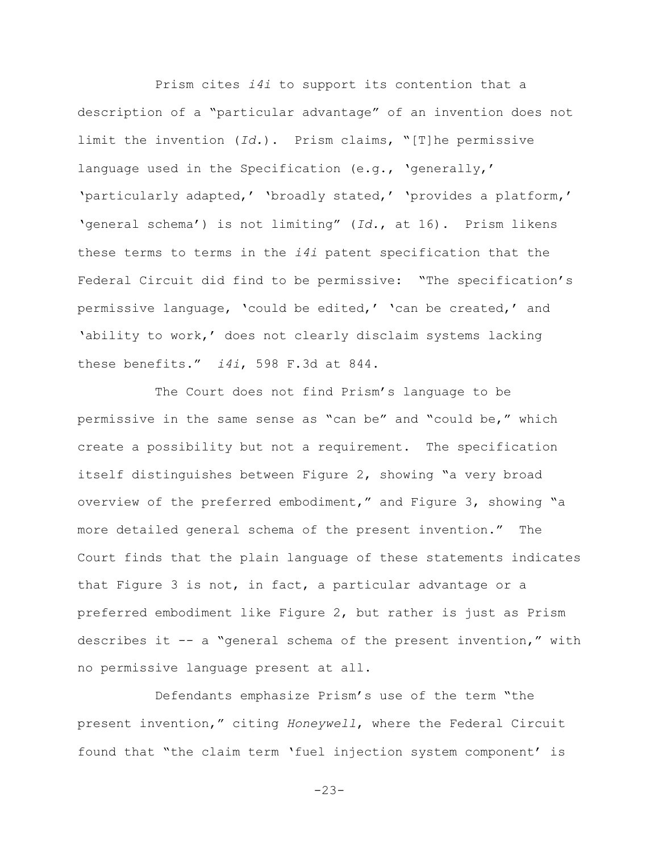Prism cites *i4i* to support its contention that a description of a "particular advantage" of an invention does not limit the invention (*Id.*). Prism claims, "[T]he permissive language used in the Specification (e.g., 'generally,' 'particularly adapted,' 'broadly stated,' 'provides a platform,' 'general schema') is not limiting" (*Id.*, at 16). Prism likens these terms to terms in the *i4i* patent specification that the Federal Circuit did find to be permissive: "The specification's permissive language, 'could be edited,' 'can be created,' and 'ability to work,' does not clearly disclaim systems lacking these benefits." *i4i*, 598 F.3d at 844.

The Court does not find Prism's language to be permissive in the same sense as "can be" and "could be," which create a possibility but not a requirement. The specification itself distinguishes between Figure 2, showing "a very broad overview of the preferred embodiment," and Figure 3, showing "a more detailed general schema of the present invention." The Court finds that the plain language of these statements indicates that Figure 3 is not, in fact, a particular advantage or a preferred embodiment like Figure 2, but rather is just as Prism describes it -- a "general schema of the present invention," with no permissive language present at all.

Defendants emphasize Prism's use of the term "the present invention," citing *Honeywell*, where the Federal Circuit found that "the claim term 'fuel injection system component' is

 $-23-$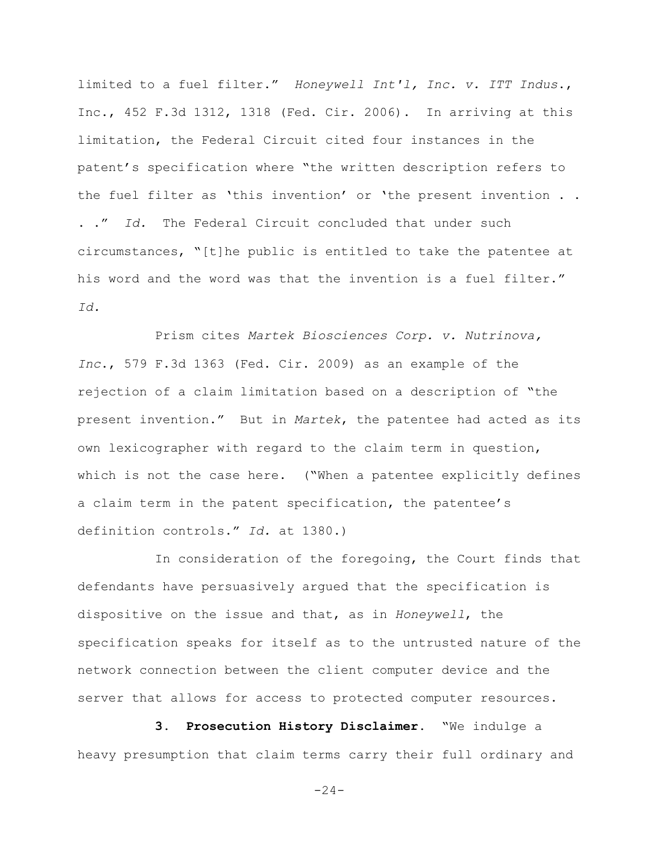limited to a fuel filter." *Honeywell Int'l, Inc. v. ITT Indus*., Inc., 452 F.3d 1312, 1318 (Fed. Cir. 2006). In arriving at this limitation, the Federal Circuit cited four instances in the patent's specification where "the written description refers to the fuel filter as 'this invention' or 'the present invention . . . ." *Id.* The Federal Circuit concluded that under such circumstances, "[t]he public is entitled to take the patentee at his word and the word was that the invention is a fuel filter." *Id.*

Prism cites *Martek Biosciences Corp. v. Nutrinova, Inc*., 579 F.3d 1363 (Fed. Cir. 2009) as an example of the rejection of a claim limitation based on a description of "the present invention." But in *Martek*, the patentee had acted as its own lexicographer with regard to the claim term in question, which is not the case here. ("When a patentee explicitly defines a claim term in the patent specification, the patentee's definition controls." *Id.* at 1380.)

In consideration of the foregoing, the Court finds that defendants have persuasively argued that the specification is dispositive on the issue and that, as in *Honeywell*, the specification speaks for itself as to the untrusted nature of the network connection between the client computer device and the server that allows for access to protected computer resources.

**3. Prosecution History Disclaimer.** "We indulge a heavy presumption that claim terms carry their full ordinary and

 $-24-$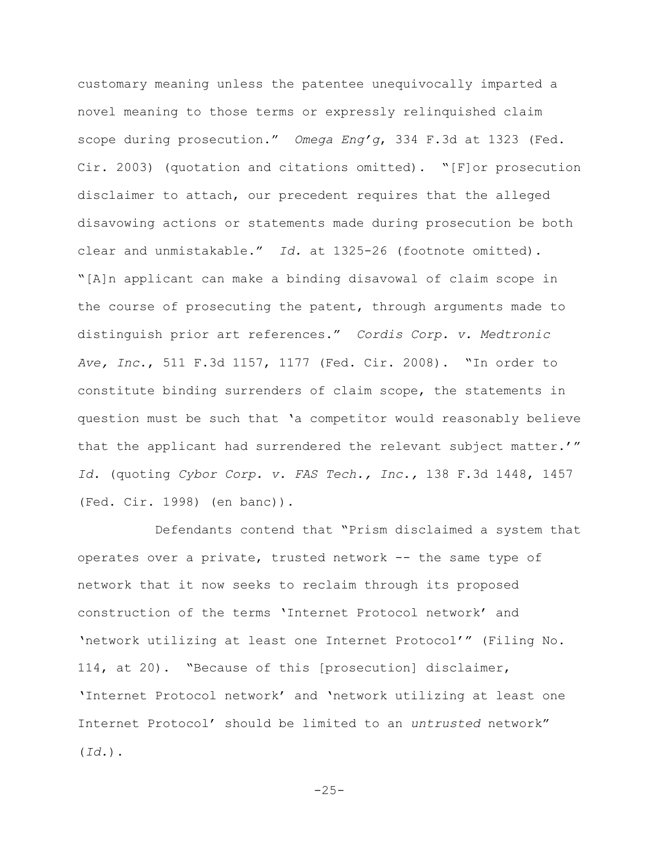customary meaning unless the patentee unequivocally imparted a novel meaning to those terms or expressly relinquished claim scope during prosecution." *Omega Eng'g*, 334 F.3d at 1323 (Fed. Cir. 2003) (quotation and citations omitted). "[F]or prosecution disclaimer to attach, our precedent requires that the alleged disavowing actions or statements made during prosecution be both clear and unmistakable." *Id.* at 1325-26 (footnote omitted). "[A]n applicant can make a binding disavowal of claim scope in the course of prosecuting the patent, through arguments made to distinguish prior art references." *Cordis Corp. v. Medtronic Ave, Inc*., 511 F.3d 1157, 1177 (Fed. Cir. 2008). "In order to constitute binding surrenders of claim scope, the statements in question must be such that 'a competitor would reasonably believe that the applicant had surrendered the relevant subject matter.'" *Id.* (quoting *Cybor Corp. v. FAS Tech., Inc.,* 138 F.3d 1448, 1457 (Fed. Cir. 1998) (en banc)).

Defendants contend that "Prism disclaimed a system that operates over a private, trusted network -- the same type of network that it now seeks to reclaim through its proposed construction of the terms 'Internet Protocol network' and 'network utilizing at least one Internet Protocol'" (Filing No. 114, at 20). "Because of this [prosecution] disclaimer, 'Internet Protocol network' and 'network utilizing at least one Internet Protocol' should be limited to an *untrusted* network" (*Id*.).

 $-25-$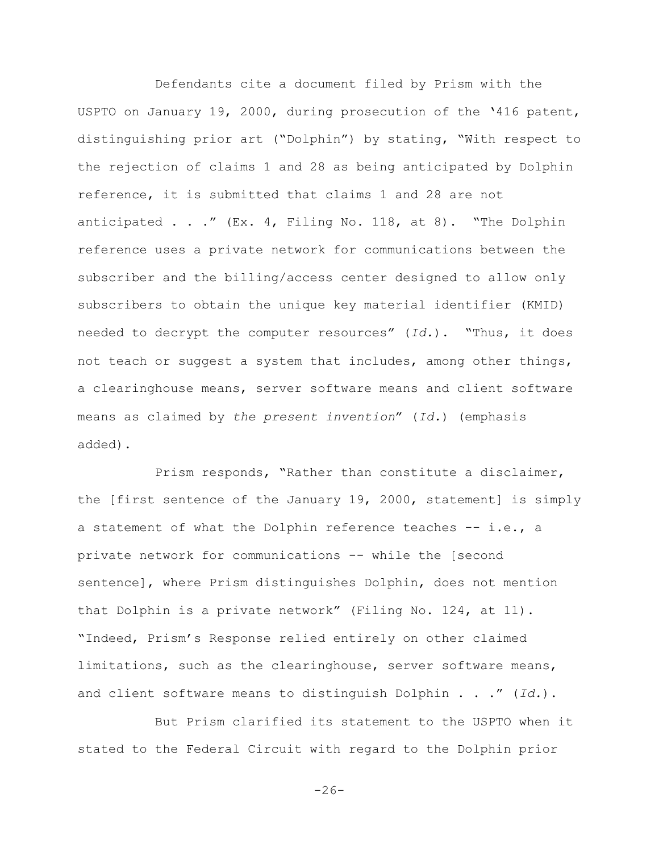Defendants cite a document filed by Prism with the USPTO on January 19, 2000, during prosecution of the '416 patent, distinguishing prior art ("Dolphin") by stating, "With respect to the rejection of claims 1 and 28 as being anticipated by Dolphin reference, it is submitted that claims 1 and 28 are not anticipated . . ." (Ex. 4, Filing No. 118, at 8). "The Dolphin reference uses a private network for communications between the subscriber and the billing/access center designed to allow only subscribers to obtain the unique key material identifier (KMID) needed to decrypt the computer resources" (*Id.*). "Thus, it does not teach or suggest a system that includes, among other things, a clearinghouse means, server software means and client software means as claimed by *the present invention*" (*Id.*) (emphasis added).

Prism responds, "Rather than constitute a disclaimer, the [first sentence of the January 19, 2000, statement] is simply a statement of what the Dolphin reference teaches -- i.e., a private network for communications -- while the [second sentence], where Prism distinguishes Dolphin, does not mention that Dolphin is a private network" (Filing No. 124, at 11). "Indeed, Prism's Response relied entirely on other claimed limitations, such as the clearinghouse, server software means, and client software means to distinguish Dolphin . . ." (*Id.*).

But Prism clarified its statement to the USPTO when it stated to the Federal Circuit with regard to the Dolphin prior

 $-26-$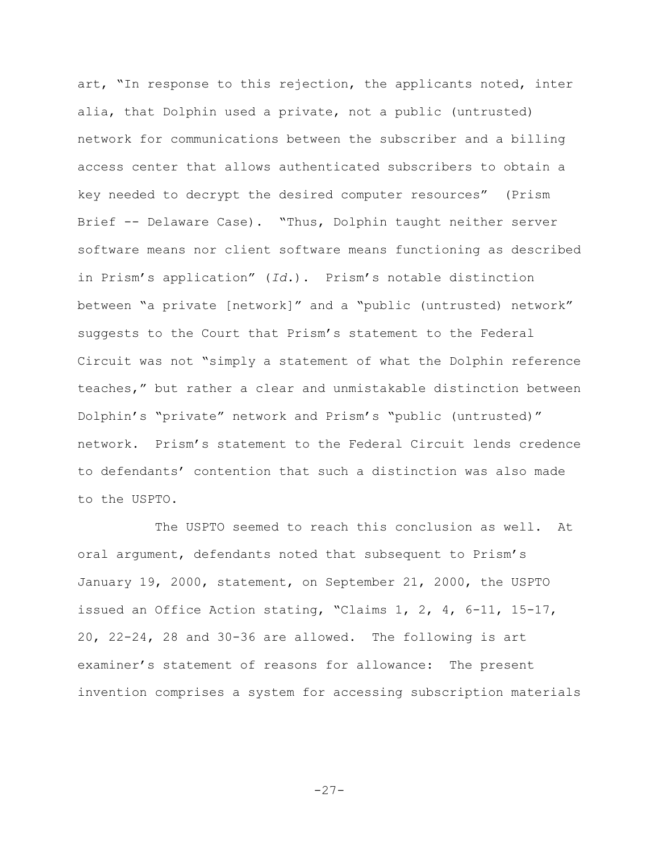art, "In response to this rejection, the applicants noted, inter alia, that Dolphin used a private, not a public (untrusted) network for communications between the subscriber and a billing access center that allows authenticated subscribers to obtain a key needed to decrypt the desired computer resources" (Prism Brief -- Delaware Case). "Thus, Dolphin taught neither server software means nor client software means functioning as described in Prism's application" (*Id.*). Prism's notable distinction between "a private [network]" and a "public (untrusted) network" suggests to the Court that Prism's statement to the Federal Circuit was not "simply a statement of what the Dolphin reference teaches," but rather a clear and unmistakable distinction between Dolphin's "private" network and Prism's "public (untrusted)" network. Prism's statement to the Federal Circuit lends credence to defendants' contention that such a distinction was also made to the USPTO.

The USPTO seemed to reach this conclusion as well. At oral argument, defendants noted that subsequent to Prism's January 19, 2000, statement, on September 21, 2000, the USPTO issued an Office Action stating, "Claims 1, 2, 4, 6-11, 15-17, 20, 22-24, 28 and 30-36 are allowed. The following is art examiner's statement of reasons for allowance: The present invention comprises a system for accessing subscription materials

-27-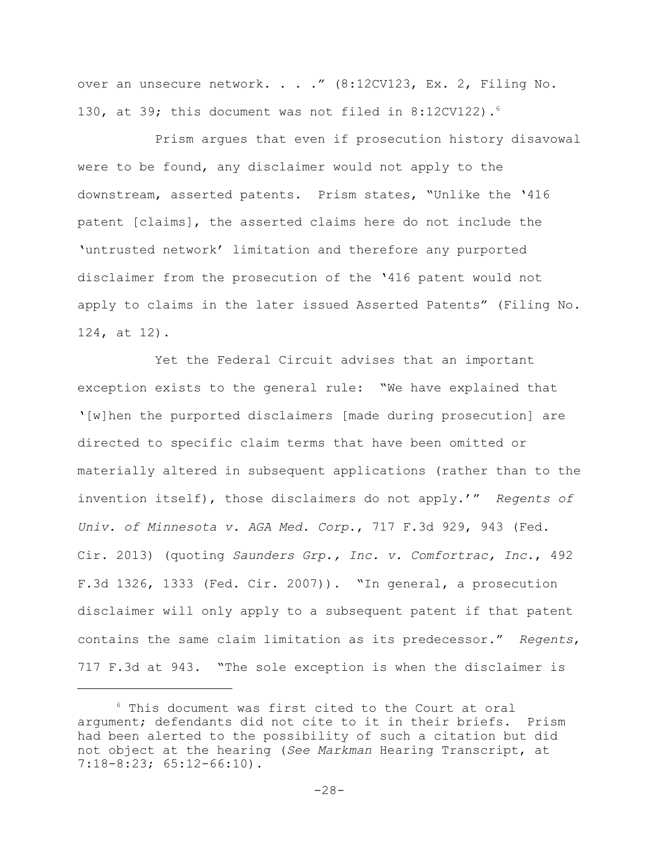over an unsecure network. . . ." (8:12CV123, Ex. 2, Filing No. 130, at 39; this document was not filed in 8:12CV122).<sup>6</sup>

Prism argues that even if prosecution history disavowal were to be found, any disclaimer would not apply to the downstream, asserted patents. Prism states, "Unlike the '416 patent [claims], the asserted claims here do not include the 'untrusted network' limitation and therefore any purported disclaimer from the prosecution of the '416 patent would not apply to claims in the later issued Asserted Patents" (Filing No. 124, at 12).

Yet the Federal Circuit advises that an important exception exists to the general rule: "We have explained that '[w]hen the purported disclaimers [made during prosecution] are directed to specific claim terms that have been omitted or materially altered in subsequent applications (rather than to the invention itself), those disclaimers do not apply.'" *Regents of Univ. of Minnesota v. AGA Med. Corp*., 717 F.3d 929, 943 (Fed. Cir. 2013) (quoting *Saunders Grp., Inc. v. Comfortrac, Inc*., 492 F.3d 1326, 1333 (Fed. Cir. 2007)). "In general, a prosecution disclaimer will only apply to a subsequent patent if that patent contains the same claim limitation as its predecessor." *Regents*, 717 F.3d at 943. "The sole exception is when the disclaimer is

<sup>6</sup> This document was first cited to the Court at oral argument; defendants did not cite to it in their briefs. Prism had been alerted to the possibility of such a citation but did not object at the hearing (*See Markman* Hearing Transcript, at 7:18-8:23; 65:12-66:10).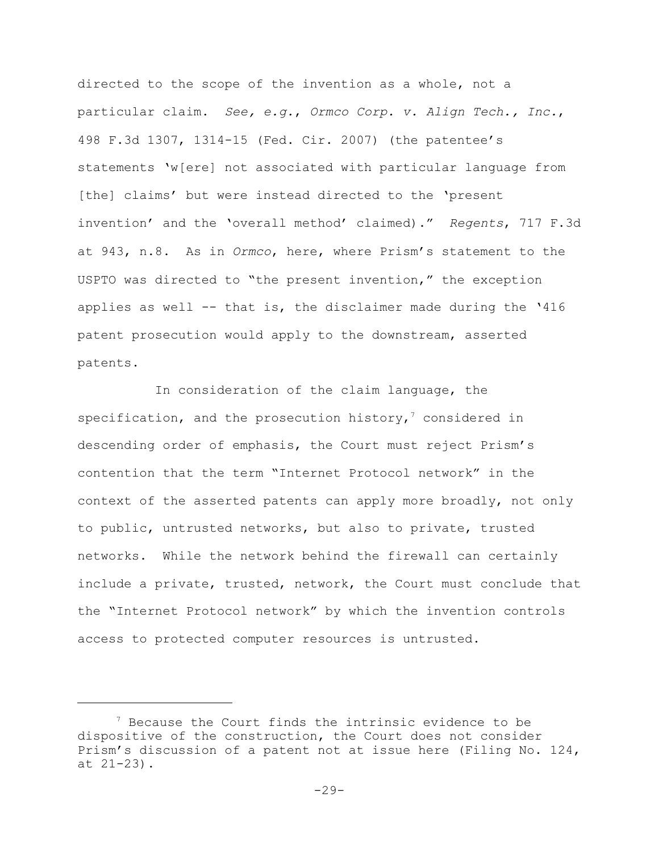directed to the scope of the invention as a whole, not a particular claim. *See, e.g.*, *Ormco Corp. v. Align Tech., Inc.*, 498 F.3d 1307, 1314-15 (Fed. Cir. 2007) (the patentee's statements 'w[ere] not associated with particular language from [the] claims' but were instead directed to the 'present invention' and the 'overall method' claimed)." *Regents*, 717 F.3d at 943, n.8. As in *Ormco*, here, where Prism's statement to the USPTO was directed to "the present invention," the exception applies as well -- that is, the disclaimer made during the '416 patent prosecution would apply to the downstream, asserted patents.

In consideration of the claim language, the specification, and the prosecution history,<sup>7</sup> considered in descending order of emphasis, the Court must reject Prism's contention that the term "Internet Protocol network" in the context of the asserted patents can apply more broadly, not only to public, untrusted networks, but also to private, trusted networks. While the network behind the firewall can certainly include a private, trusted, network, the Court must conclude that the "Internet Protocol network" by which the invention controls access to protected computer resources is untrusted.

 $7$  Because the Court finds the intrinsic evidence to be dispositive of the construction, the Court does not consider Prism's discussion of a patent not at issue here (Filing No. 124, at 21-23).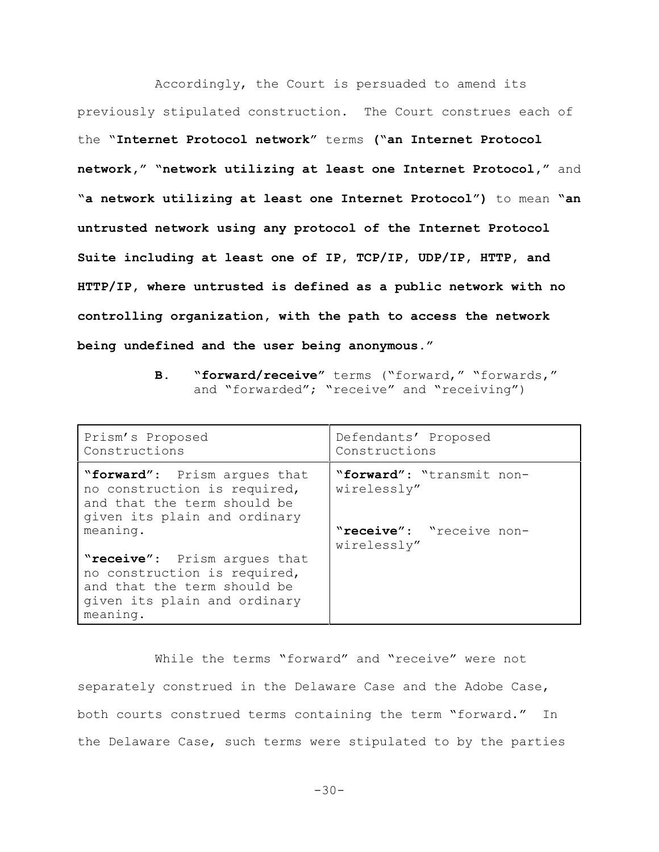Accordingly, the Court is persuaded to amend its previously stipulated construction. The Court construes each of the "**Internet Protocol network"** terms **("an Internet Protocol network," "network utilizing at least one Internet Protocol,"** and **"a network utilizing at least one Internet Protocol")** to mean **"an untrusted network using any protocol of the Internet Protocol Suite including at least one of IP, TCP/IP, UDP/IP, HTTP, and HTTP/IP, where untrusted is defined as a public network with no controlling organization, with the path to access the network being undefined and the user being anonymous."**

**B. "forward/receive"** terms ("forward," "forwards," and "forwarded"; "receive" and "receiving")

| Prism's Proposed<br>Constructions                                                                                                       | Defendants' Proposed<br>Constructions    |
|-----------------------------------------------------------------------------------------------------------------------------------------|------------------------------------------|
| "forward": Prism arques that<br>no construction is required,<br>and that the term should be<br>given its plain and ordinary             | "forward": "transmit non-<br>wirelessly" |
| meaning.                                                                                                                                | "receive": "receive non-<br>wirelessly"  |
| "receive": Prism arques that<br>no construction is required,<br>and that the term should be<br>given its plain and ordinary<br>meaning. |                                          |

While the terms "forward" and "receive" were not separately construed in the Delaware Case and the Adobe Case, both courts construed terms containing the term "forward." In the Delaware Case, such terms were stipulated to by the parties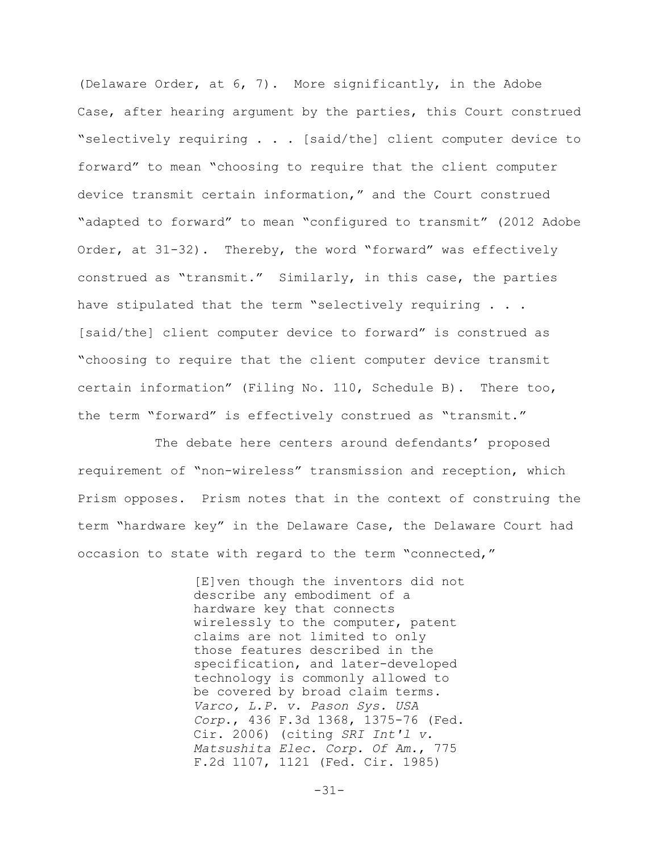(Delaware Order, at 6, 7). More significantly, in the Adobe Case, after hearing argument by the parties, this Court construed "selectively requiring . . . [said/the] client computer device to forward" to mean "choosing to require that the client computer device transmit certain information," and the Court construed "adapted to forward" to mean "configured to transmit" (2012 Adobe Order, at 31-32). Thereby, the word "forward" was effectively construed as "transmit." Similarly, in this case, the parties have stipulated that the term "selectively requiring . . . [said/the] client computer device to forward" is construed as "choosing to require that the client computer device transmit certain information" (Filing No. 110, Schedule B). There too, the term "forward" is effectively construed as "transmit."

The debate here centers around defendants' proposed requirement of "non-wireless" transmission and reception, which Prism opposes. Prism notes that in the context of construing the term "hardware key" in the Delaware Case, the Delaware Court had occasion to state with regard to the term "connected,"

> [E]ven though the inventors did not describe any embodiment of a hardware key that connects wirelessly to the computer, patent claims are not limited to only those features described in the specification, and later-developed technology is commonly allowed to be covered by broad claim terms. *Varco, L.P. v. Pason Sys. USA Corp*., 436 F.3d 1368, 1375-76 (Fed. Cir. 2006) (citing *SRI Int'l v. Matsushita Elec. Corp. Of Am.*, 775 F.2d 1107, 1121 (Fed. Cir. 1985)

> > $-31-$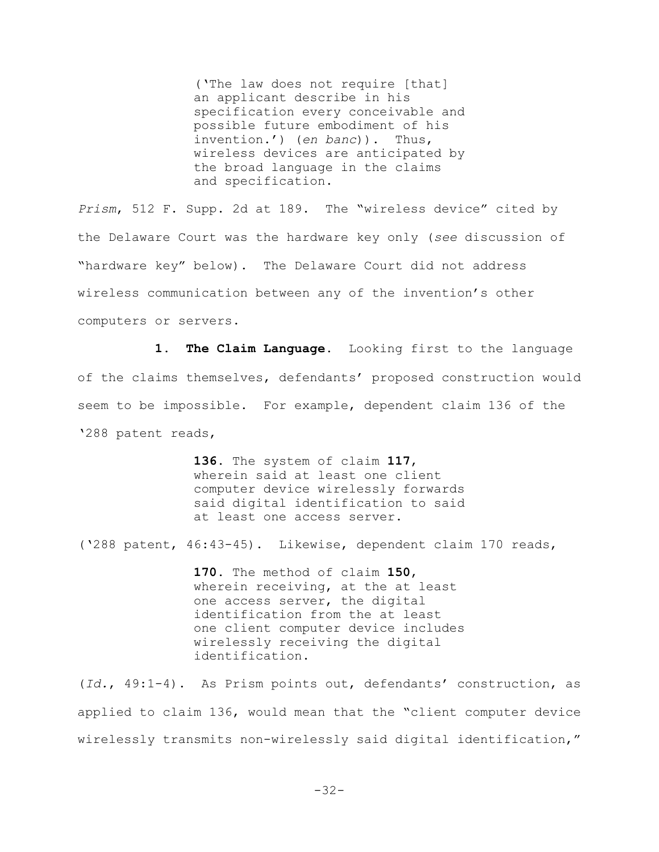('The law does not require [that] an applicant describe in his specification every conceivable and possible future embodiment of his invention.') (*en banc*)). Thus, wireless devices are anticipated by the broad language in the claims and specification.

*Prism*, 512 F. Supp. 2d at 189. The "wireless device" cited by the Delaware Court was the hardware key only (*see* discussion of "hardware key" below). The Delaware Court did not address wireless communication between any of the invention's other computers or servers.

**1. The Claim Language.** Looking first to the language of the claims themselves, defendants' proposed construction would seem to be impossible. For example, dependent claim 136 of the '288 patent reads,

> **136.** The system of claim **117**, wherein said at least one client computer device wirelessly forwards said digital identification to said at least one access server.

('288 patent, 46:43-45). Likewise, dependent claim 170 reads,

**170.** The method of claim **150**, wherein receiving, at the at least one access server, the digital identification from the at least one client computer device includes wirelessly receiving the digital identification.

(*Id.*, 49:1-4). As Prism points out, defendants' construction, as applied to claim 136, would mean that the "client computer device wirelessly transmits non-wirelessly said digital identification,"

 $-32-$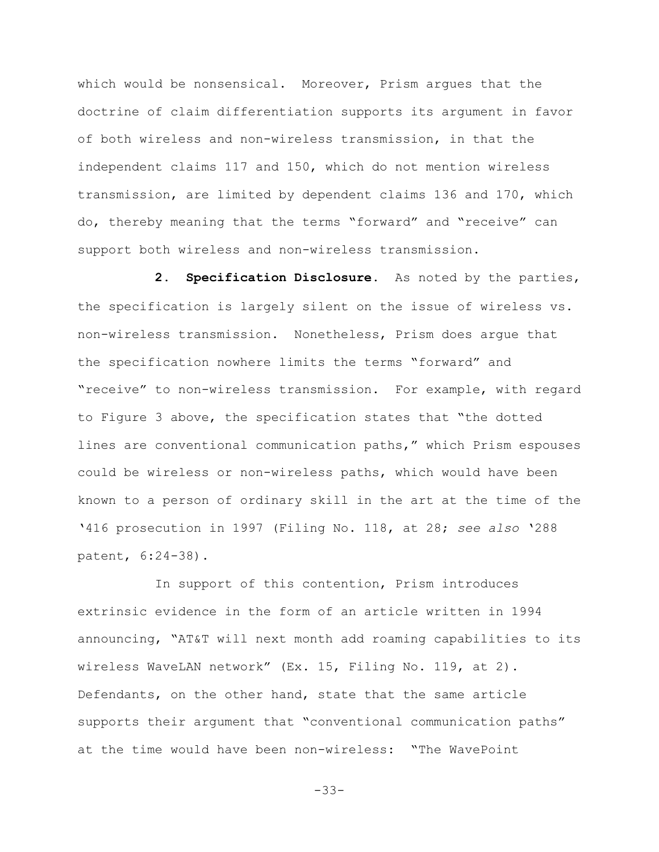which would be nonsensical. Moreover, Prism argues that the doctrine of claim differentiation supports its argument in favor of both wireless and non-wireless transmission, in that the independent claims 117 and 150, which do not mention wireless transmission, are limited by dependent claims 136 and 170, which do, thereby meaning that the terms "forward" and "receive" can support both wireless and non-wireless transmission.

**2. Specification Disclosure.** As noted by the parties, the specification is largely silent on the issue of wireless vs. non-wireless transmission. Nonetheless, Prism does argue that the specification nowhere limits the terms "forward" and "receive" to non-wireless transmission. For example, with regard to Figure 3 above, the specification states that "the dotted lines are conventional communication paths," which Prism espouses could be wireless or non-wireless paths, which would have been known to a person of ordinary skill in the art at the time of the '416 prosecution in 1997 (Filing No. 118, at 28; *see also* '288 patent, 6:24-38).

In support of this contention, Prism introduces extrinsic evidence in the form of an article written in 1994 announcing, "AT&T will next month add roaming capabilities to its wireless WaveLAN network" (Ex. 15, Filing No. 119, at 2). Defendants, on the other hand, state that the same article supports their argument that "conventional communication paths" at the time would have been non-wireless: "The WavePoint

-33-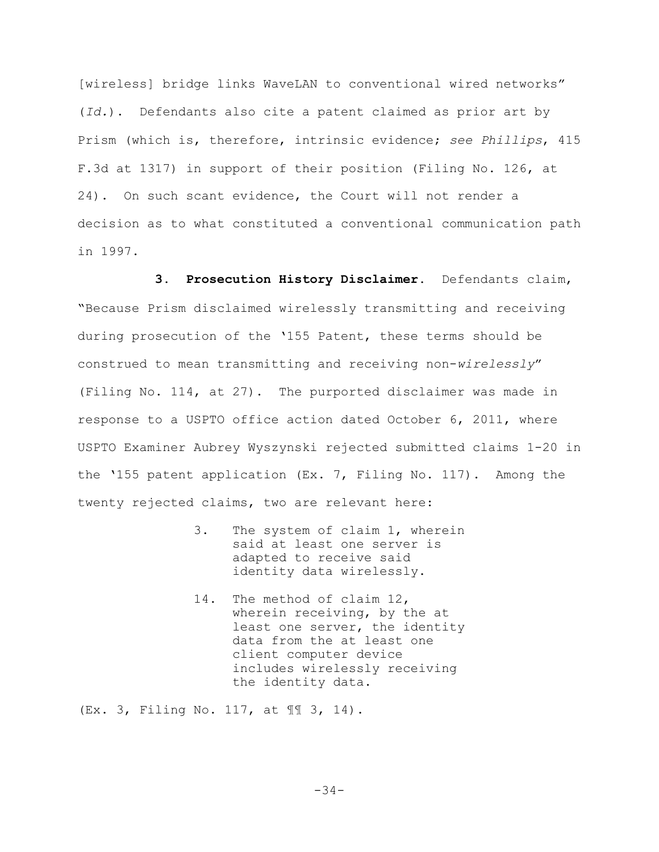[wireless] bridge links WaveLAN to conventional wired networks" (*Id.*). Defendants also cite a patent claimed as prior art by Prism (which is, therefore, intrinsic evidence; *see Phillips*, 415 F.3d at 1317) in support of their position (Filing No. 126, at 24). On such scant evidence, the Court will not render a decision as to what constituted a conventional communication path in 1997.

**3. Prosecution History Disclaimer.** Defendants claim, "Because Prism disclaimed wirelessly transmitting and receiving during prosecution of the '155 Patent, these terms should be construed to mean transmitting and receiving non-*wirelessly*" (Filing No. 114, at 27). The purported disclaimer was made in response to a USPTO office action dated October 6, 2011, where USPTO Examiner Aubrey Wyszynski rejected submitted claims 1-20 in the '155 patent application (Ex. 7, Filing No. 117). Among the twenty rejected claims, two are relevant here:

- 3. The system of claim 1, wherein said at least one server is adapted to receive said identity data wirelessly.
- 14. The method of claim 12, wherein receiving, by the at least one server, the identity data from the at least one client computer device includes wirelessly receiving the identity data.

(Ex. 3, Filing No. 117, at ¶¶ 3, 14).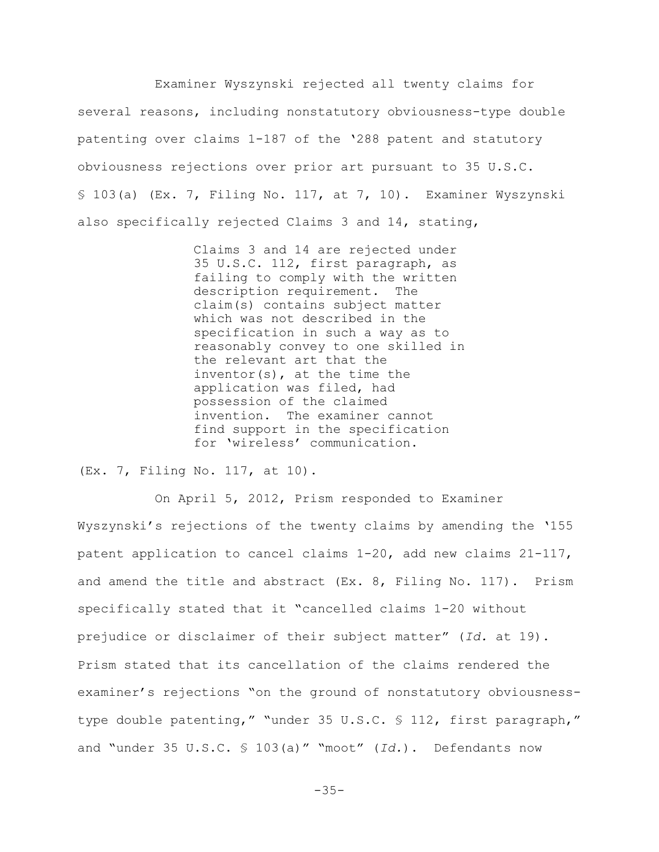Examiner Wyszynski rejected all twenty claims for several reasons, including nonstatutory obviousness-type double patenting over claims 1-187 of the '288 patent and statutory obviousness rejections over prior art pursuant to 35 U.S.C. § 103(a) (Ex. 7, Filing No. 117, at 7, 10). Examiner Wyszynski also specifically rejected Claims 3 and 14, stating,

> Claims 3 and 14 are rejected under 35 U.S.C. 112, first paragraph, as failing to comply with the written description requirement. The claim(s) contains subject matter which was not described in the specification in such a way as to reasonably convey to one skilled in the relevant art that the inventor(s), at the time the application was filed, had possession of the claimed invention. The examiner cannot find support in the specification for 'wireless' communication.

(Ex. 7, Filing No. 117, at 10).

On April 5, 2012, Prism responded to Examiner Wyszynski's rejections of the twenty claims by amending the '155 patent application to cancel claims 1-20, add new claims 21-117, and amend the title and abstract (Ex. 8, Filing No. 117). Prism specifically stated that it "cancelled claims 1-20 without prejudice or disclaimer of their subject matter" (*Id.* at 19). Prism stated that its cancellation of the claims rendered the examiner's rejections "on the ground of nonstatutory obviousnesstype double patenting," "under 35 U.S.C. § 112, first paragraph," and "under 35 U.S.C. § 103(a)" "moot" (*Id.*). Defendants now

 $-35-$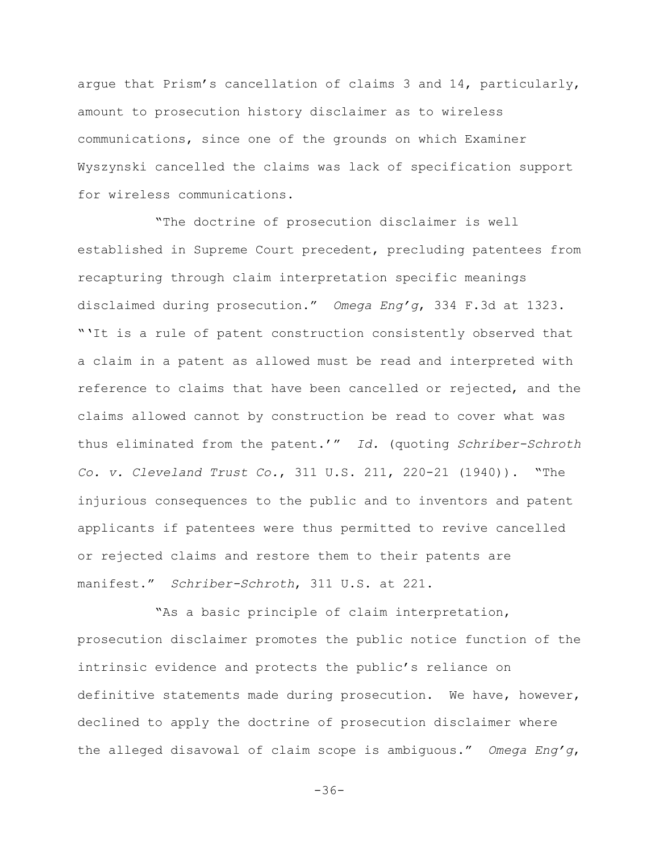argue that Prism's cancellation of claims 3 and 14, particularly, amount to prosecution history disclaimer as to wireless communications, since one of the grounds on which Examiner Wyszynski cancelled the claims was lack of specification support for wireless communications.

"The doctrine of prosecution disclaimer is well established in Supreme Court precedent, precluding patentees from recapturing through claim interpretation specific meanings disclaimed during prosecution." *Omega Eng'g*, 334 F.3d at 1323. "'It is a rule of patent construction consistently observed that a claim in a patent as allowed must be read and interpreted with reference to claims that have been cancelled or rejected, and the claims allowed cannot by construction be read to cover what was thus eliminated from the patent.'" *Id.* (quoting *Schriber-Schroth Co. v. Cleveland Trust Co.*, 311 U.S. 211, 220-21 (1940)). "The injurious consequences to the public and to inventors and patent applicants if patentees were thus permitted to revive cancelled or rejected claims and restore them to their patents are manifest." *Schriber-Schroth*, 311 U.S. at 221.

"As a basic principle of claim interpretation, prosecution disclaimer promotes the public notice function of the intrinsic evidence and protects the public's reliance on definitive statements made during prosecution. We have, however, declined to apply the doctrine of prosecution disclaimer where the alleged disavowal of claim scope is ambiguous." *Omega Eng'g*,

 $-36-$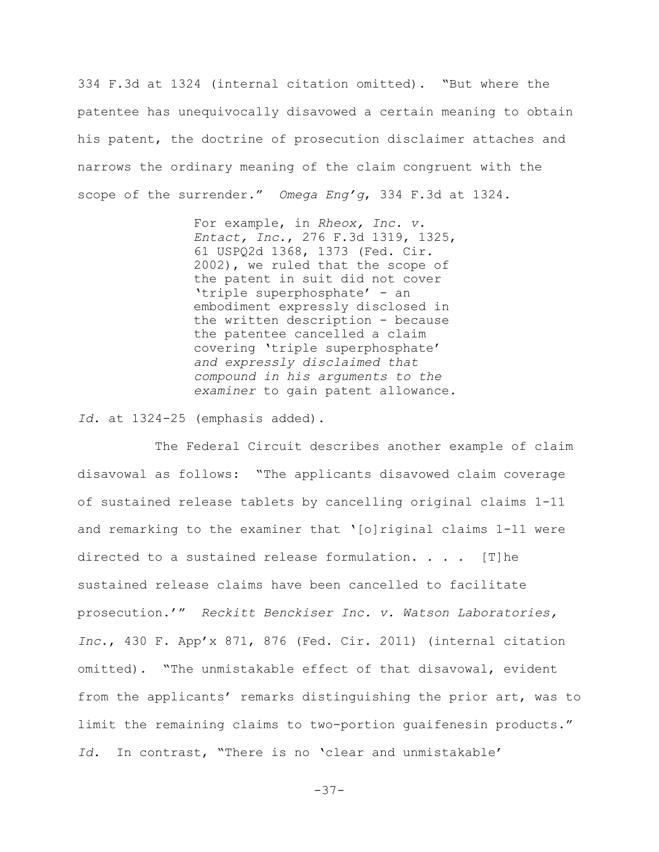334 F.3d at 1324 (internal citation omitted). "But where the patentee has unequivocally disavowed a certain meaning to obtain his patent, the doctrine of prosecution disclaimer attaches and narrows the ordinary meaning of the claim congruent with the scope of the surrender." *Omega Eng'g*, 334 F.3d at 1324.

> For example, in *Rheox, Inc. v. Entact, Inc*., 276 F.3d 1319, 1325, 61 USPQ2d 1368, 1373 (Fed. Cir. 2002), we ruled that the scope of the patent in suit did not cover 'triple superphosphate' - an embodiment expressly disclosed in the written description - because the patentee cancelled a claim covering 'triple superphosphate' *and expressly disclaimed that compound in his arguments to the examiner* to gain patent allowance.

*Id.* at 1324-25 (emphasis added).

The Federal Circuit describes another example of claim disavowal as follows: "The applicants disavowed claim coverage of sustained release tablets by cancelling original claims 1-11 and remarking to the examiner that '[o]riginal claims 1-11 were directed to a sustained release formulation. . . . [T]he sustained release claims have been cancelled to facilitate prosecution.'" *Reckitt Benckiser Inc. v. Watson Laboratories, Inc*., 430 F. App'x 871, 876 (Fed. Cir. 2011) (internal citation omitted). "The unmistakable effect of that disavowal, evident from the applicants' remarks distinguishing the prior art, was to limit the remaining claims to two-portion guaifenesin products." *Id.* In contrast, "There is no 'clear and unmistakable'

 $-37-$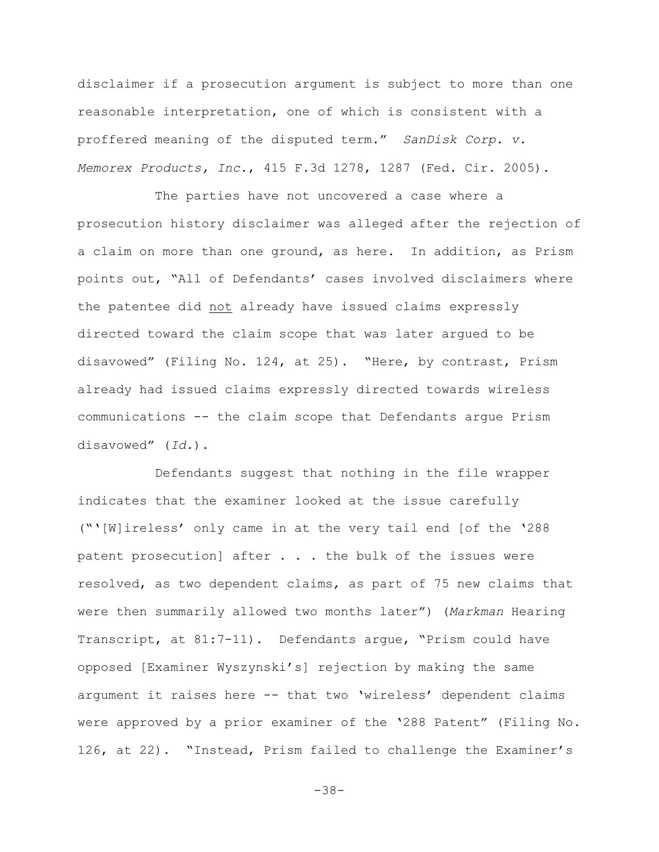disclaimer if a prosecution argument is subject to more than one reasonable interpretation, one of which is consistent with a proffered meaning of the disputed term." *SanDisk Corp. v. Memorex Products, Inc*., 415 F.3d 1278, 1287 (Fed. Cir. 2005).

The parties have not uncovered a case where a prosecution history disclaimer was alleged after the rejection of a claim on more than one ground, as here. In addition, as Prism points out, "All of Defendants' cases involved disclaimers where the patentee did not already have issued claims expressly directed toward the claim scope that was later argued to be disavowed" (Filing No. 124, at 25). "Here, by contrast, Prism already had issued claims expressly directed towards wireless communications -- the claim scope that Defendants argue Prism disavowed" (*Id.*).

Defendants suggest that nothing in the file wrapper indicates that the examiner looked at the issue carefully ("'[W]ireless' only came in at the very tail end [of the '288 patent prosecution] after . . . the bulk of the issues were resolved, as two dependent claims, as part of 75 new claims that were then summarily allowed two months later") (*Markman* Hearing Transcript, at 81:7-11). Defendants argue, "Prism could have opposed [Examiner Wyszynski's] rejection by making the same argument it raises here -- that two 'wireless' dependent claims were approved by a prior examiner of the '288 Patent" (Filing No. 126, at 22). "Instead, Prism failed to challenge the Examiner's

-38-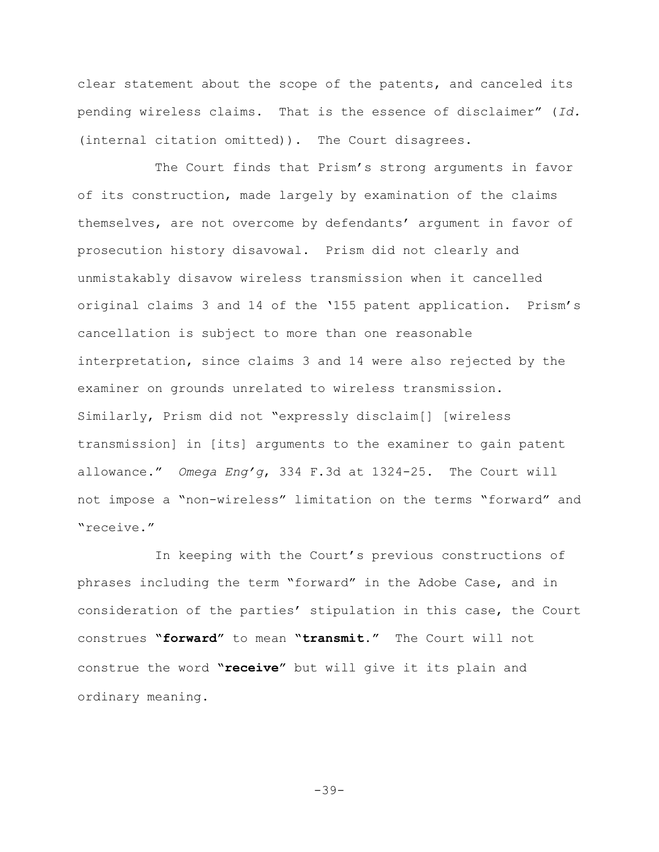clear statement about the scope of the patents, and canceled its pending wireless claims. That is the essence of disclaimer" (*Id.* (internal citation omitted)). The Court disagrees.

The Court finds that Prism's strong arguments in favor of its construction, made largely by examination of the claims themselves, are not overcome by defendants' argument in favor of prosecution history disavowal. Prism did not clearly and unmistakably disavow wireless transmission when it cancelled original claims 3 and 14 of the '155 patent application. Prism's cancellation is subject to more than one reasonable interpretation, since claims 3 and 14 were also rejected by the examiner on grounds unrelated to wireless transmission. Similarly, Prism did not "expressly disclaim[] [wireless transmission] in [its] arguments to the examiner to gain patent allowance." *Omega Eng'g*, 334 F.3d at 1324-25. The Court will not impose a "non-wireless" limitation on the terms "forward" and "receive."

In keeping with the Court's previous constructions of phrases including the term "forward" in the Adobe Case, and in consideration of the parties' stipulation in this case, the Court construes **"forward"** to mean **"transmit."** The Court will not construe the word **"receive"** but will give it its plain and ordinary meaning.

 $-39-$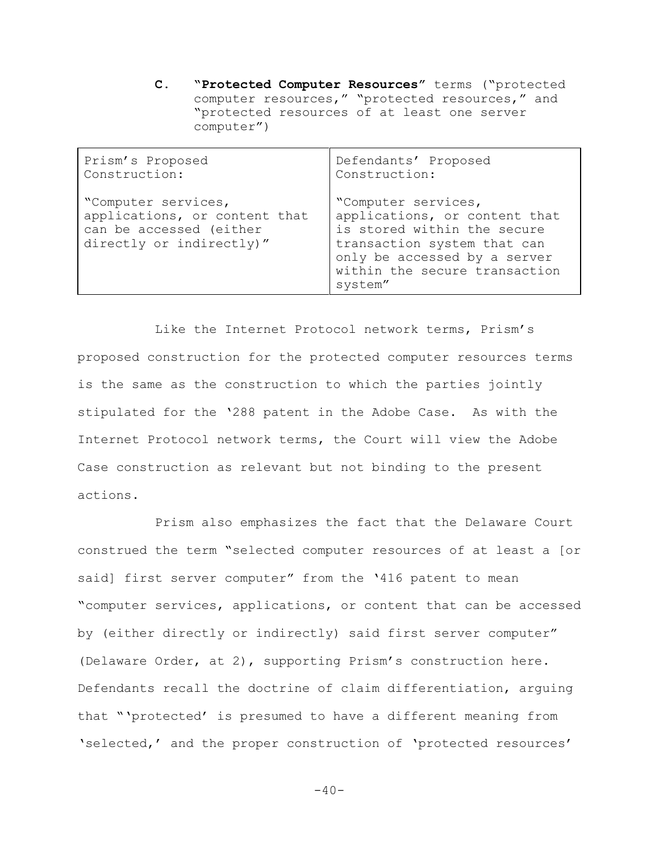**C. "Protected Computer Resources"** terms ("protected computer resources," "protected resources," and "protected resources of at least one server computer")

| Prism's Proposed                                                                                            | Defendants' Proposed                                                                                                                                                                           |
|-------------------------------------------------------------------------------------------------------------|------------------------------------------------------------------------------------------------------------------------------------------------------------------------------------------------|
| Construction:                                                                                               | Construction:                                                                                                                                                                                  |
| "Computer services,<br>applications, or content that<br>can be accessed (either<br>directly or indirectly)" | "Computer services,<br>applications, or content that<br>is stored within the secure<br>transaction system that can<br>only be accessed by a server<br>within the secure transaction<br>system" |

Like the Internet Protocol network terms, Prism's proposed construction for the protected computer resources terms is the same as the construction to which the parties jointly stipulated for the '288 patent in the Adobe Case. As with the Internet Protocol network terms, the Court will view the Adobe Case construction as relevant but not binding to the present actions.

Prism also emphasizes the fact that the Delaware Court construed the term "selected computer resources of at least a [or said] first server computer" from the '416 patent to mean "computer services, applications, or content that can be accessed by (either directly or indirectly) said first server computer" (Delaware Order, at 2), supporting Prism's construction here. Defendants recall the doctrine of claim differentiation, arguing that "'protected' is presumed to have a different meaning from 'selected,' and the proper construction of 'protected resources'

 $-40-$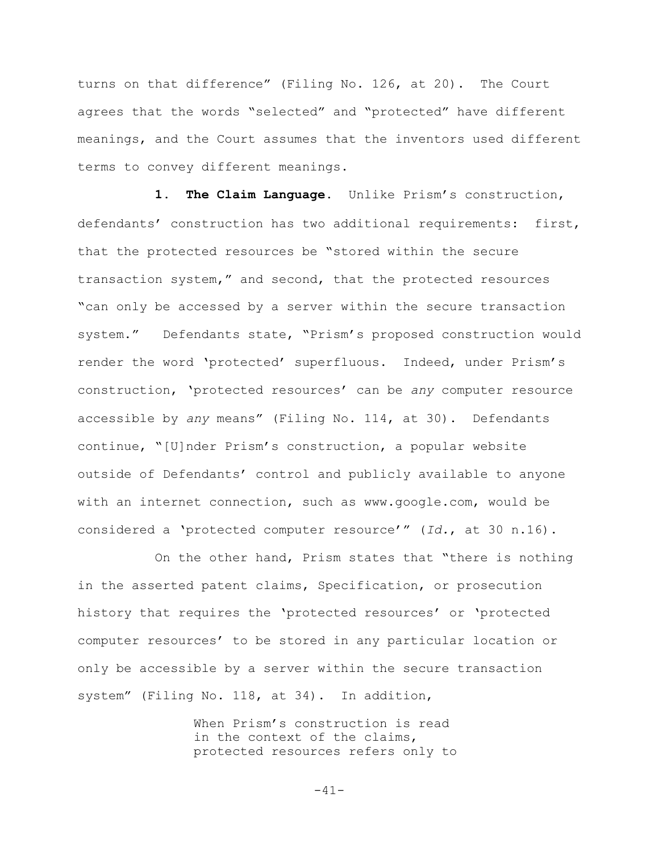turns on that difference" (Filing No. 126, at 20). The Court agrees that the words "selected" and "protected" have different meanings, and the Court assumes that the inventors used different terms to convey different meanings.

**1. The Claim Language.** Unlike Prism's construction, defendants' construction has two additional requirements: first, that the protected resources be "stored within the secure transaction system," and second, that the protected resources "can only be accessed by a server within the secure transaction system." Defendants state, "Prism's proposed construction would render the word 'protected' superfluous. Indeed, under Prism's construction, 'protected resources' can be *any* computer resource accessible by *any* means" (Filing No. 114, at 30). Defendants continue, "[U]nder Prism's construction, a popular website outside of Defendants' control and publicly available to anyone with an internet connection, such as www.google.com, would be considered a 'protected computer resource'" (*Id.*, at 30 n.16).

On the other hand, Prism states that "there is nothing in the asserted patent claims, Specification, or prosecution history that requires the 'protected resources' or 'protected computer resources' to be stored in any particular location or only be accessible by a server within the secure transaction system" (Filing No. 118, at 34). In addition,

> When Prism's construction is read in the context of the claims, protected resources refers only to

> > $-41-$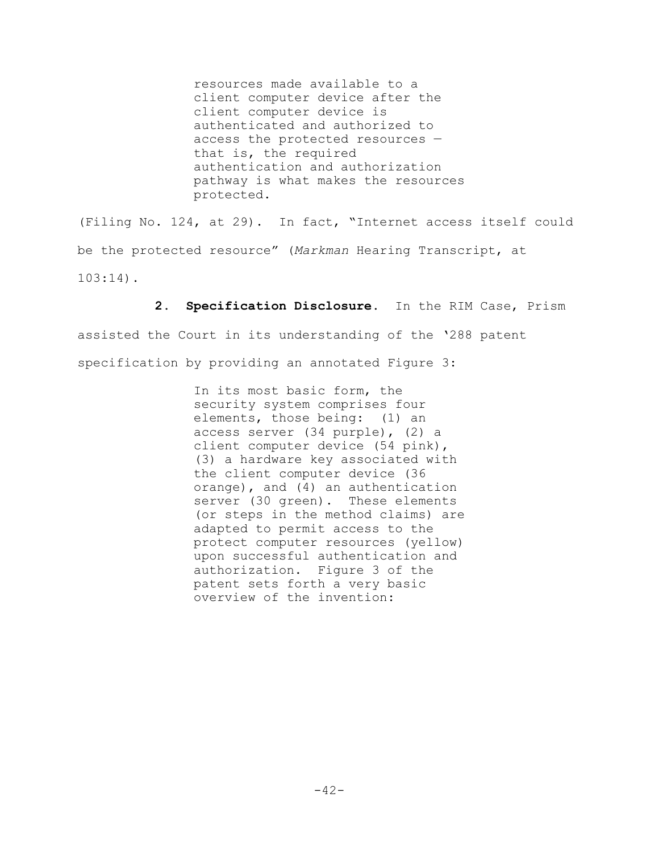resources made available to a client computer device after the client computer device is authenticated and authorized to access the protected resources that is, the required authentication and authorization pathway is what makes the resources protected.

(Filing No. 124, at 29). In fact, "Internet access itself could be the protected resource" (*Markman* Hearing Transcript, at 103:14).

**2. Specification Disclosure.** In the RIM Case, Prism

assisted the Court in its understanding of the '288 patent specification by providing an annotated Figure 3:

> In its most basic form, the security system comprises four elements, those being: (1) an access server (34 purple), (2) a client computer device (54 pink), (3) a hardware key associated with the client computer device (36 orange), and (4) an authentication server (30 green). These elements (or steps in the method claims) are adapted to permit access to the protect computer resources (yellow) upon successful authentication and authorization. Figure 3 of the patent sets forth a very basic overview of the invention: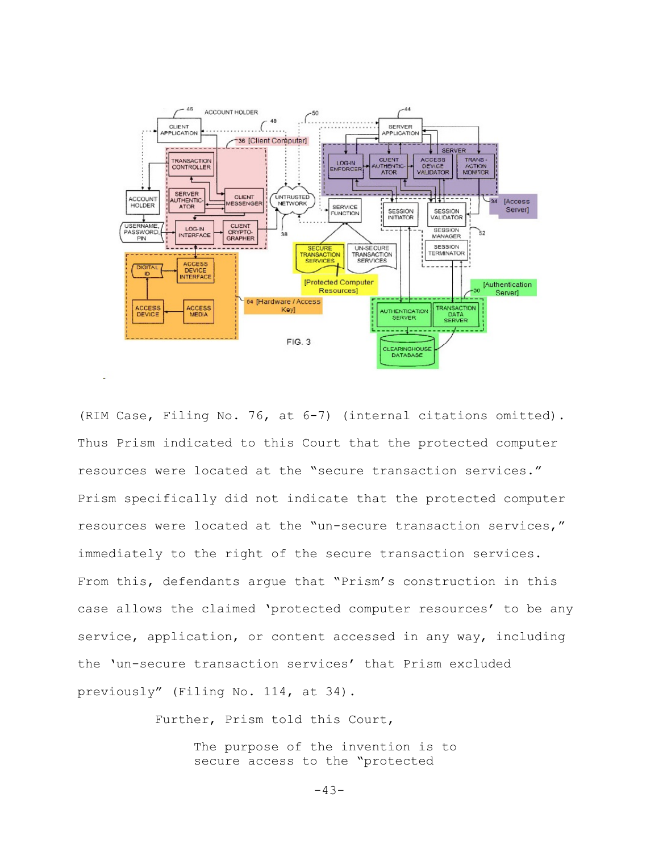

(RIM Case, Filing No. 76, at 6-7) (internal citations omitted). Thus Prism indicated to this Court that the protected computer resources were located at the "secure transaction services." Prism specifically did not indicate that the protected computer resources were located at the "un-secure transaction services," immediately to the right of the secure transaction services. From this, defendants argue that "Prism's construction in this case allows the claimed 'protected computer resources' to be any service, application, or content accessed in any way, including the 'un-secure transaction services' that Prism excluded previously" (Filing No. 114, at 34).

Further, Prism told this Court,

The purpose of the invention is to secure access to the "protected

 $-43-$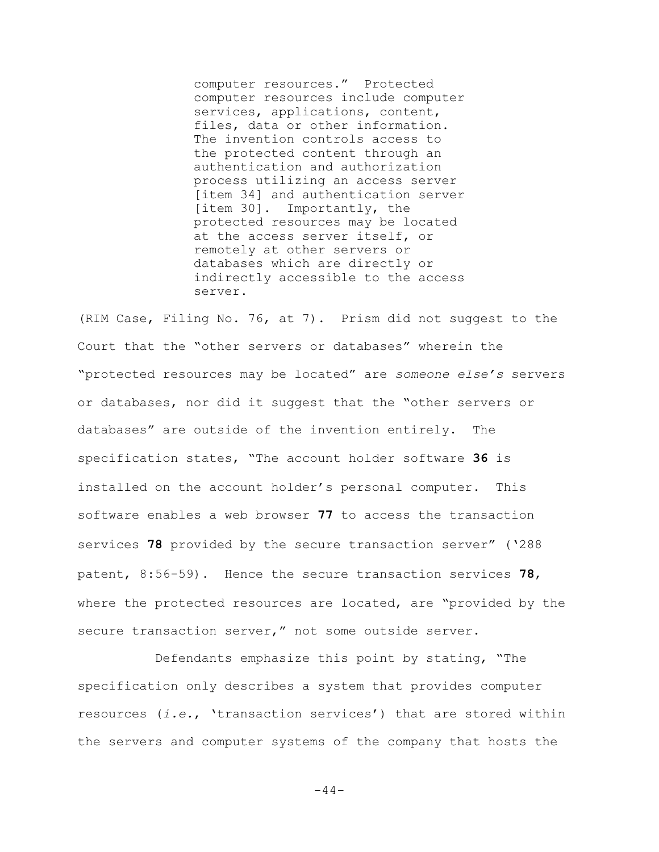computer resources." Protected computer resources include computer services, applications, content, files, data or other information. The invention controls access to the protected content through an authentication and authorization process utilizing an access server [item 34] and authentication server [item 30]. Importantly, the protected resources may be located at the access server itself, or remotely at other servers or databases which are directly or indirectly accessible to the access server.

(RIM Case, Filing No. 76, at 7). Prism did not suggest to the Court that the "other servers or databases" wherein the "protected resources may be located" are *someone else's* servers or databases, nor did it suggest that the "other servers or databases" are outside of the invention entirely. The specification states, "The account holder software **36** is installed on the account holder's personal computer. This software enables a web browser **77** to access the transaction services **78** provided by the secure transaction server" ('288 patent, 8:56-59). Hence the secure transaction services **78**, where the protected resources are located, are "provided by the secure transaction server," not some outside server.

Defendants emphasize this point by stating, "The specification only describes a system that provides computer resources (*i.e.*, 'transaction services') that are stored within the servers and computer systems of the company that hosts the

 $-44-$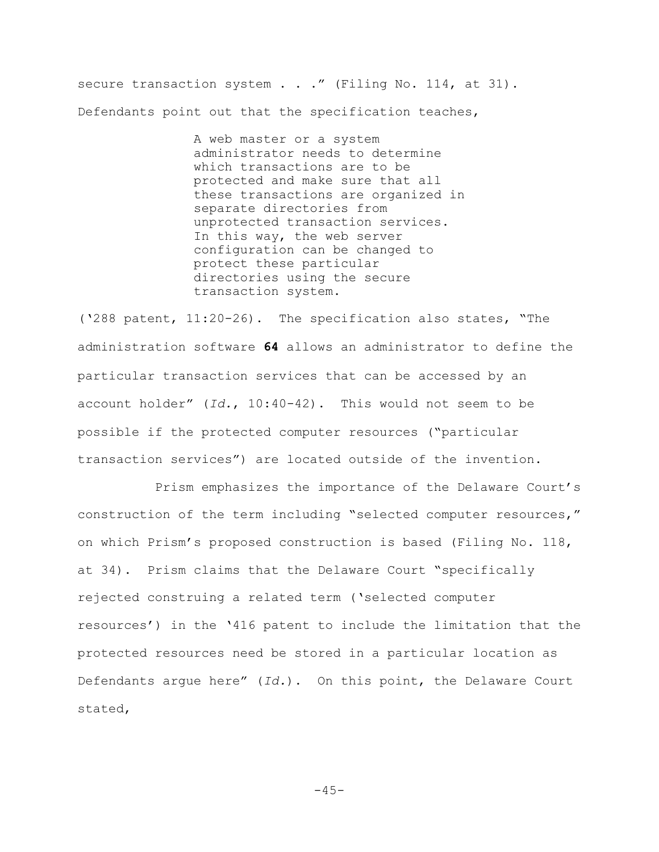secure transaction system . . ." (Filing No. 114, at 31). Defendants point out that the specification teaches,

> A web master or a system administrator needs to determine which transactions are to be protected and make sure that all these transactions are organized in separate directories from unprotected transaction services. In this way, the web server configuration can be changed to protect these particular directories using the secure transaction system.

('288 patent, 11:20-26). The specification also states, "The administration software **64** allows an administrator to define the particular transaction services that can be accessed by an account holder" (*Id.*, 10:40-42). This would not seem to be possible if the protected computer resources ("particular transaction services") are located outside of the invention.

Prism emphasizes the importance of the Delaware Court's construction of the term including "selected computer resources," on which Prism's proposed construction is based (Filing No. 118, at 34). Prism claims that the Delaware Court "specifically rejected construing a related term ('selected computer resources') in the '416 patent to include the limitation that the protected resources need be stored in a particular location as Defendants argue here" (*Id.*). On this point, the Delaware Court stated,

 $-45-$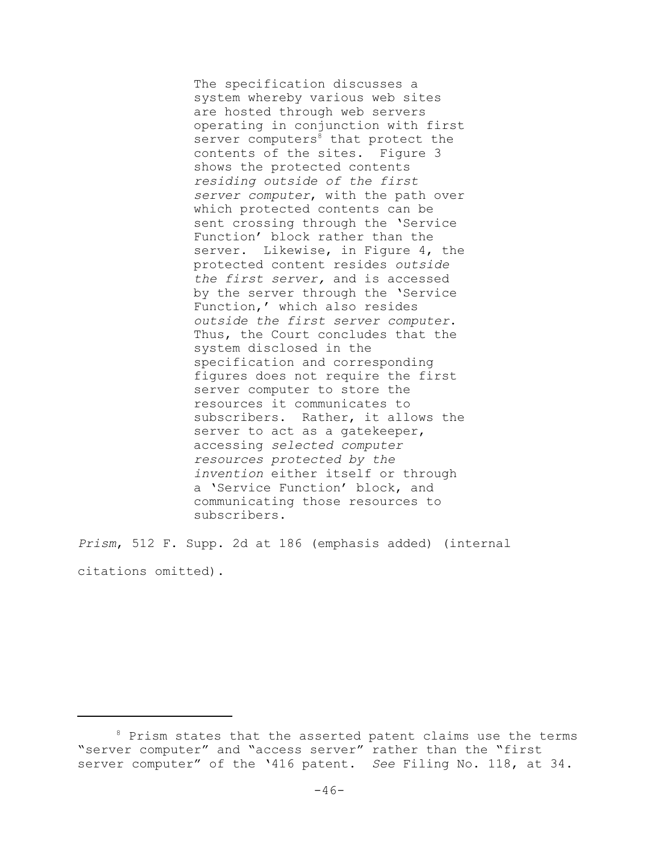The specification discusses a system whereby various web sites are hosted through web servers operating in conjunction with first server computers $8$  that protect the contents of the sites. Figure 3 shows the protected contents *residing outside of the first server computer*, with the path over which protected contents can be sent crossing through the 'Service Function' block rather than the server. Likewise, in Figure 4, the protected content resides *outside the first server,* and is accessed by the server through the 'Service Function,' which also resides *outside the first server computer*. Thus, the Court concludes that the system disclosed in the specification and corresponding figures does not require the first server computer to store the resources it communicates to subscribers. Rather, it allows the server to act as a gatekeeper, accessing *selected computer resources protected by the invention* either itself or through a 'Service Function' block, and communicating those resources to subscribers.

*Prism*, 512 F. Supp. 2d at 186 (emphasis added) (internal citations omitted).

<sup>&</sup>lt;sup>8</sup> Prism states that the asserted patent claims use the terms "server computer" and "access server" rather than the "first server computer" of the '416 patent. *See* Filing No. 118, at 34.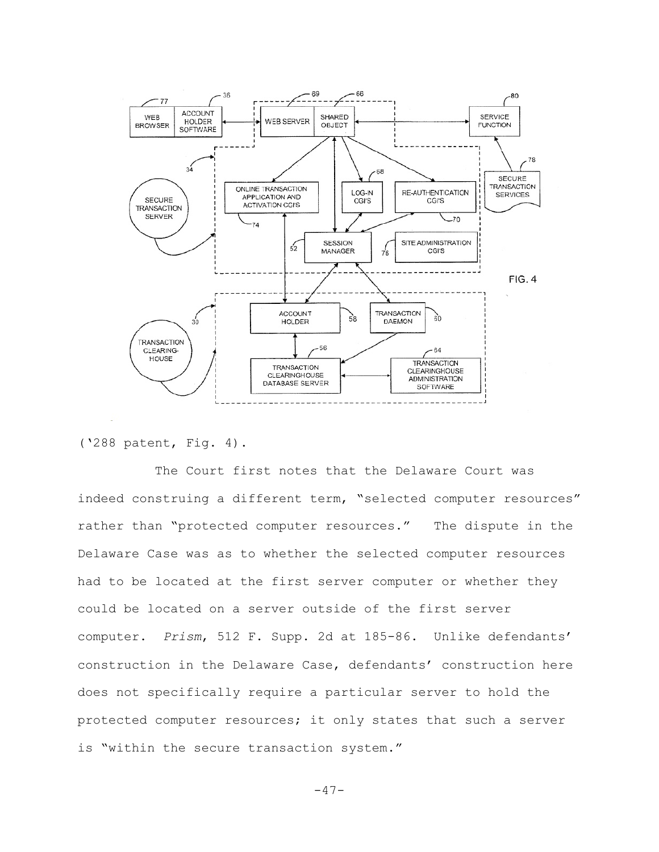

('288 patent, Fig. 4).

The Court first notes that the Delaware Court was indeed construing a different term, "selected computer resources" rather than "protected computer resources." The dispute in the Delaware Case was as to whether the selected computer resources had to be located at the first server computer or whether they could be located on a server outside of the first server computer. *Prism*, 512 F. Supp. 2d at 185-86. Unlike defendants' construction in the Delaware Case, defendants' construction here does not specifically require a particular server to hold the protected computer resources; it only states that such a server is "within the secure transaction system."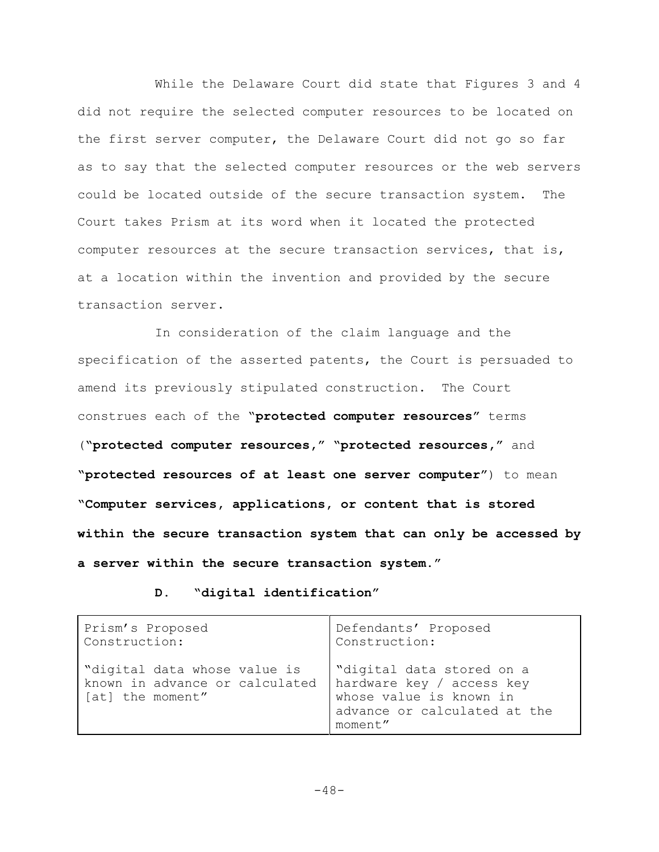While the Delaware Court did state that Figures 3 and 4 did not require the selected computer resources to be located on the first server computer, the Delaware Court did not go so far as to say that the selected computer resources or the web servers could be located outside of the secure transaction system. The Court takes Prism at its word when it located the protected computer resources at the secure transaction services, that is, at a location within the invention and provided by the secure transaction server.

In consideration of the claim language and the specification of the asserted patents, the Court is persuaded to amend its previously stipulated construction. The Court construes each of the "**protected computer resources"** terms (**"protected computer resources," "protected resources,"** and **"protected resources of at least one server computer"**) to mean **"Computer services, applications, or content that is stored within the secure transaction system that can only be accessed by a server within the secure transaction system."**

**D. "digital identification"**

| Prism's Proposed                                                                                             | Defendants' Proposed                                                                            |
|--------------------------------------------------------------------------------------------------------------|-------------------------------------------------------------------------------------------------|
| Construction:                                                                                                | Construction:                                                                                   |
| "digital data whose value is<br>known in advance or calculated hardware key / access key<br>[at] the moment" | "digital data stored on a<br>whose value is known in<br>advance or calculated at the<br>moment" |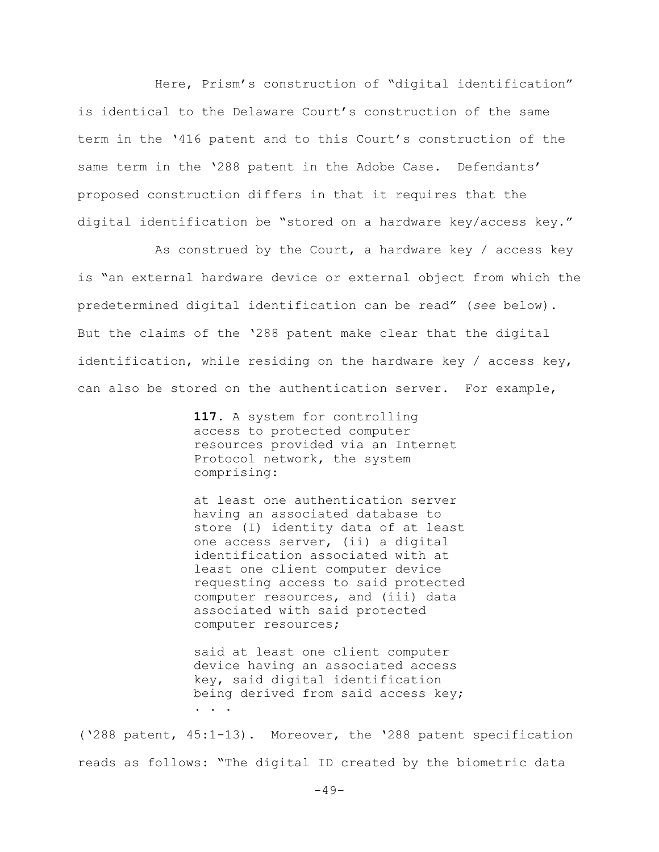Here, Prism's construction of "digital identification" is identical to the Delaware Court's construction of the same term in the '416 patent and to this Court's construction of the same term in the '288 patent in the Adobe Case. Defendants' proposed construction differs in that it requires that the digital identification be "stored on a hardware key/access key."

As construed by the Court, a hardware key / access key is "an external hardware device or external object from which the predetermined digital identification can be read" (*see* below). But the claims of the '288 patent make clear that the digital identification, while residing on the hardware key / access key, can also be stored on the authentication server. For example,

> **117.** A system for controlling access to protected computer resources provided via an Internet Protocol network, the system comprising:

at least one authentication server having an associated database to store (I) identity data of at least one access server, (ii) a digital identification associated with at least one client computer device requesting access to said protected computer resources, and (iii) data associated with said protected computer resources;

said at least one client computer device having an associated access key, said digital identification being derived from said access key; . . .

('288 patent, 45:1-13). Moreover, the '288 patent specification reads as follows: "The digital ID created by the biometric data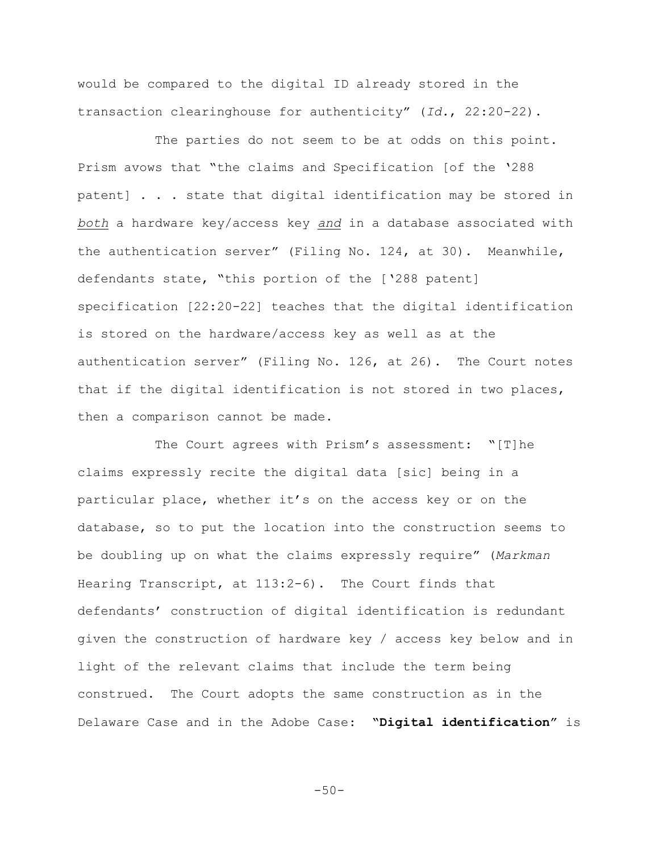would be compared to the digital ID already stored in the transaction clearinghouse for authenticity" (*Id.*, 22:20-22).

The parties do not seem to be at odds on this point. Prism avows that "the claims and Specification [of the '288 patent] . . . state that digital identification may be stored in *both* a hardware key/access key *and* in a database associated with the authentication server" (Filing No. 124, at 30). Meanwhile, defendants state, "this portion of the ['288 patent] specification [22:20-22] teaches that the digital identification is stored on the hardware/access key as well as at the authentication server" (Filing No. 126, at 26). The Court notes that if the digital identification is not stored in two places, then a comparison cannot be made.

The Court agrees with Prism's assessment: "[T]he claims expressly recite the digital data [sic] being in a particular place, whether it's on the access key or on the database, so to put the location into the construction seems to be doubling up on what the claims expressly require" (*Markman* Hearing Transcript, at 113:2-6). The Court finds that defendants' construction of digital identification is redundant given the construction of hardware key / access key below and in light of the relevant claims that include the term being construed. The Court adopts the same construction as in the Delaware Case and in the Adobe Case: **"Digital identification"** is

 $-50-$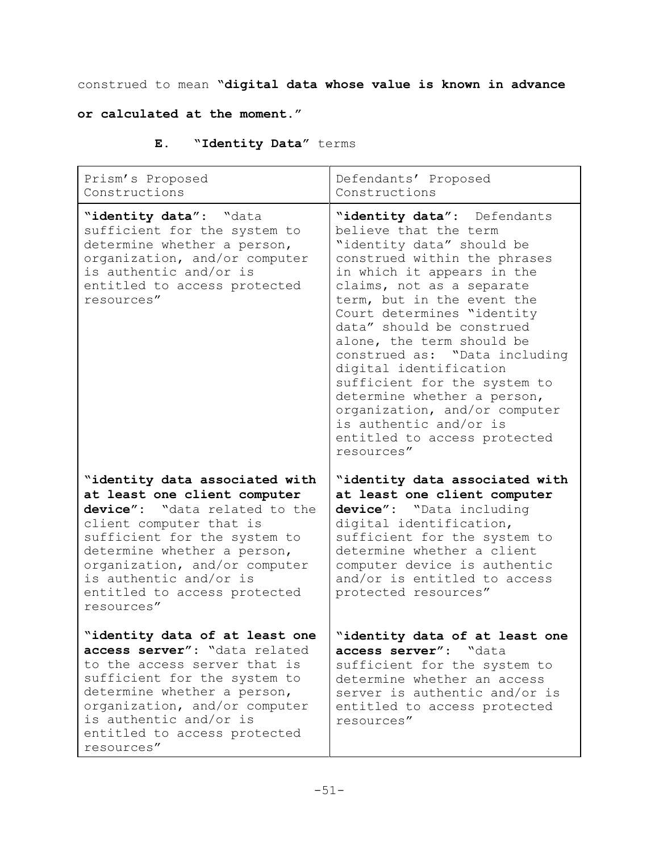construed to mean **"digital data whose value is known in advance**

# **or calculated at the moment."**

| Е. | "Identity Data" terms |  |  |
|----|-----------------------|--|--|
|----|-----------------------|--|--|

| Prism's Proposed<br>Constructions                                                                                                                                                                                                                                                                  | Defendants' Proposed<br>Constructions                                                                                                                                                                                                                                                                                                                                                                                                                                                                                                 |
|----------------------------------------------------------------------------------------------------------------------------------------------------------------------------------------------------------------------------------------------------------------------------------------------------|---------------------------------------------------------------------------------------------------------------------------------------------------------------------------------------------------------------------------------------------------------------------------------------------------------------------------------------------------------------------------------------------------------------------------------------------------------------------------------------------------------------------------------------|
| "identity data": "data<br>sufficient for the system to<br>determine whether a person,<br>organization, and/or computer<br>is authentic and/or is<br>entitled to access protected<br>resources"                                                                                                     | "identity data": Defendants<br>believe that the term<br>"identity data" should be<br>construed within the phrases<br>in which it appears in the<br>claims, not as a separate<br>term, but in the event the<br>Court determines "identity<br>data" should be construed<br>alone, the term should be<br>construed as: "Data including<br>digital identification<br>sufficient for the system to<br>determine whether a person,<br>organization, and/or computer<br>is authentic and/or is<br>entitled to access protected<br>resources" |
| "identity data associated with<br>at least one client computer<br>device": "data related to the<br>client computer that is<br>sufficient for the system to<br>determine whether a person,<br>organization, and/or computer<br>is authentic and/or is<br>entitled to access protected<br>resources" | "identity data associated with<br>at least one client computer<br>device": "Data including<br>digital identification,<br>sufficient for the system to<br>determine whether a client<br>computer device is authentic<br>and/or is entitled to access<br>protected resources"                                                                                                                                                                                                                                                           |
| "identity data of at least one<br>access server": "data related<br>to the access server that is<br>sufficient for the system to<br>determine whether a person,<br>organization, and/or computer<br>is authentic and/or is<br>entitled to access protected<br>resources"                            | "identity data of at least one<br>access server": "data<br>sufficient for the system to<br>determine whether an access<br>server is authentic and/or is<br>entitled to access protected<br>resources"                                                                                                                                                                                                                                                                                                                                 |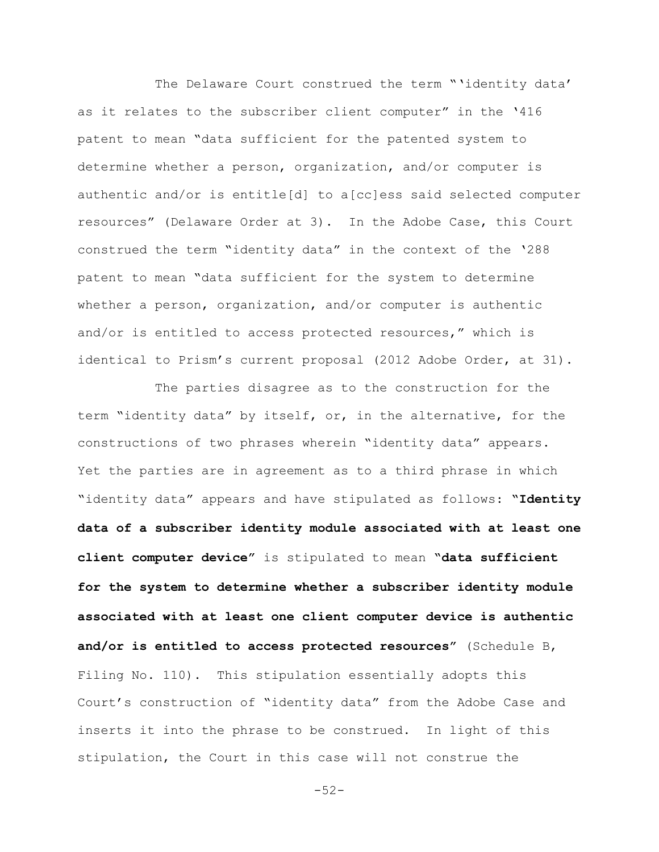The Delaware Court construed the term "'identity data' as it relates to the subscriber client computer" in the '416 patent to mean "data sufficient for the patented system to determine whether a person, organization, and/or computer is authentic and/or is entitle[d] to a[cc]ess said selected computer resources" (Delaware Order at 3). In the Adobe Case, this Court construed the term "identity data" in the context of the '288 patent to mean "data sufficient for the system to determine whether a person, organization, and/or computer is authentic and/or is entitled to access protected resources," which is identical to Prism's current proposal (2012 Adobe Order, at 31).

The parties disagree as to the construction for the term "identity data" by itself, or, in the alternative, for the constructions of two phrases wherein "identity data" appears. Yet the parties are in agreement as to a third phrase in which "identity data" appears and have stipulated as follows: **"Identity data of a subscriber identity module associated with at least one client computer device"** is stipulated to mean **"data sufficient for the system to determine whether a subscriber identity module associated with at least one client computer device is authentic and/or is entitled to access protected resources"** (Schedule B, Filing No. 110). This stipulation essentially adopts this Court's construction of "identity data" from the Adobe Case and inserts it into the phrase to be construed. In light of this stipulation, the Court in this case will not construe the

 $-52-$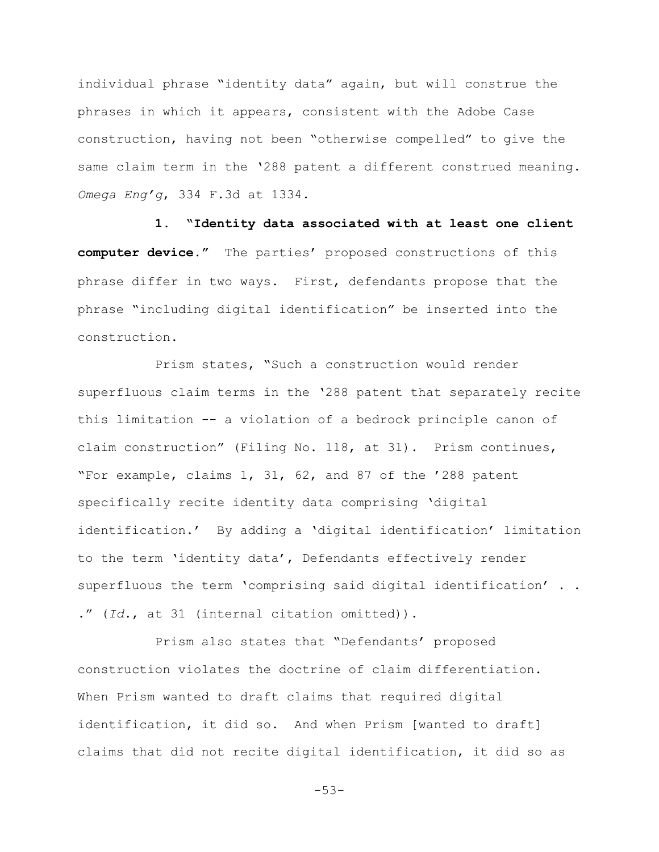individual phrase "identity data" again, but will construe the phrases in which it appears, consistent with the Adobe Case construction, having not been "otherwise compelled" to give the same claim term in the '288 patent a different construed meaning. *Omega Eng'g*, 334 F.3d at 1334.

**1. "Identity data associated with at least one client computer device."** The parties' proposed constructions of this phrase differ in two ways. First, defendants propose that the phrase "including digital identification" be inserted into the construction.

Prism states, "Such a construction would render superfluous claim terms in the '288 patent that separately recite this limitation -- a violation of a bedrock principle canon of claim construction" (Filing No. 118, at 31). Prism continues, "For example, claims 1, 31, 62, and 87 of the '288 patent specifically recite identity data comprising 'digital identification.' By adding a 'digital identification' limitation to the term 'identity data', Defendants effectively render superfluous the term 'comprising said digital identification' . . ." (*Id.*, at 31 (internal citation omitted)).

Prism also states that "Defendants' proposed construction violates the doctrine of claim differentiation. When Prism wanted to draft claims that required digital identification, it did so. And when Prism [wanted to draft] claims that did not recite digital identification, it did so as

-53-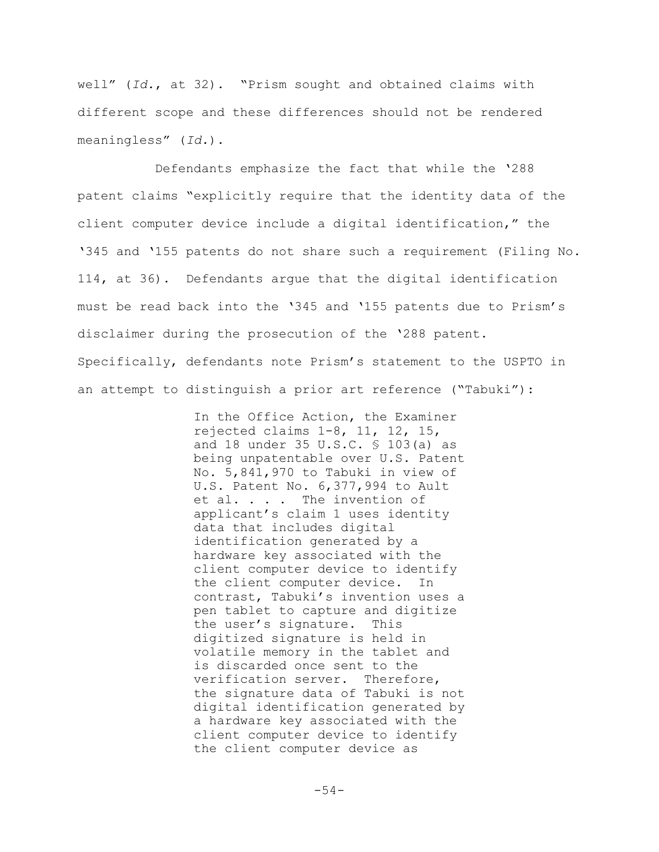well" (*Id.*, at 32). "Prism sought and obtained claims with different scope and these differences should not be rendered meaningless" (*Id.*).

Defendants emphasize the fact that while the '288 patent claims "explicitly require that the identity data of the client computer device include a digital identification," the '345 and '155 patents do not share such a requirement (Filing No. 114, at 36). Defendants argue that the digital identification must be read back into the '345 and '155 patents due to Prism's disclaimer during the prosecution of the '288 patent. Specifically, defendants note Prism's statement to the USPTO in an attempt to distinguish a prior art reference ("Tabuki"):

> In the Office Action, the Examiner rejected claims 1-8, 11, 12, 15, and 18 under 35 U.S.C. § 103(a) as being unpatentable over U.S. Patent No. 5,841,970 to Tabuki in view of U.S. Patent No. 6,377,994 to Ault et al. . . . The invention of applicant's claim 1 uses identity data that includes digital identification generated by a hardware key associated with the client computer device to identify the client computer device. In contrast, Tabuki's invention uses a pen tablet to capture and digitize the user's signature. This digitized signature is held in volatile memory in the tablet and is discarded once sent to the verification server. Therefore, the signature data of Tabuki is not digital identification generated by a hardware key associated with the client computer device to identify the client computer device as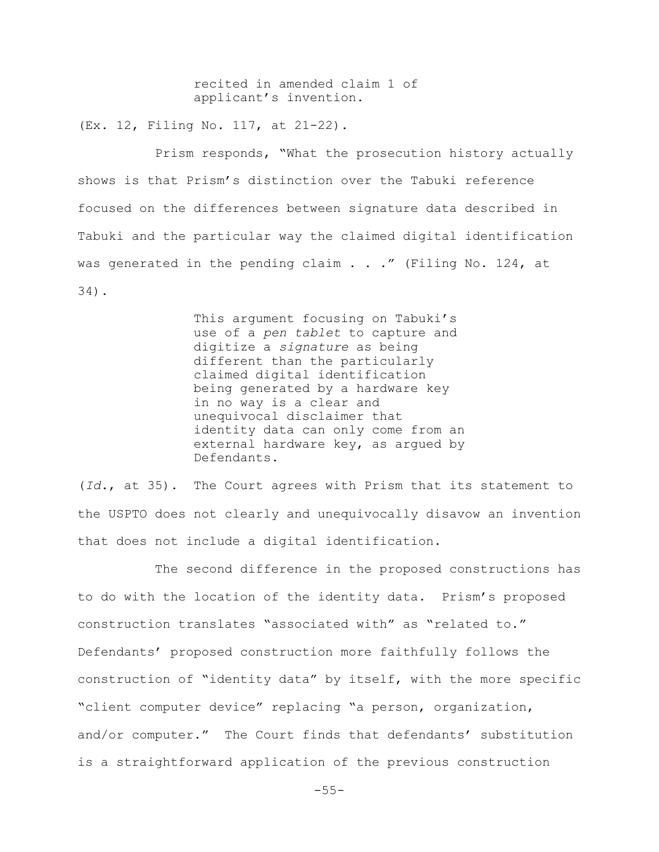recited in amended claim 1 of applicant's invention.

(Ex. 12, Filing No. 117, at 21-22).

Prism responds, "What the prosecution history actually shows is that Prism's distinction over the Tabuki reference focused on the differences between signature data described in Tabuki and the particular way the claimed digital identification was generated in the pending claim  $\ldots$  ." (Filing No. 124, at 34).

> This argument focusing on Tabuki's use of a *pen tablet* to capture and digitize a *signature* as being different than the particularly claimed digital identification being generated by a hardware key in no way is a clear and unequivocal disclaimer that identity data can only come from an external hardware key, as argued by Defendants.

(*Id.*, at 35). The Court agrees with Prism that its statement to the USPTO does not clearly and unequivocally disavow an invention that does not include a digital identification.

The second difference in the proposed constructions has to do with the location of the identity data. Prism's proposed construction translates "associated with" as "related to." Defendants' proposed construction more faithfully follows the construction of "identity data" by itself, with the more specific "client computer device" replacing "a person, organization, and/or computer." The Court finds that defendants' substitution is a straightforward application of the previous construction

-55-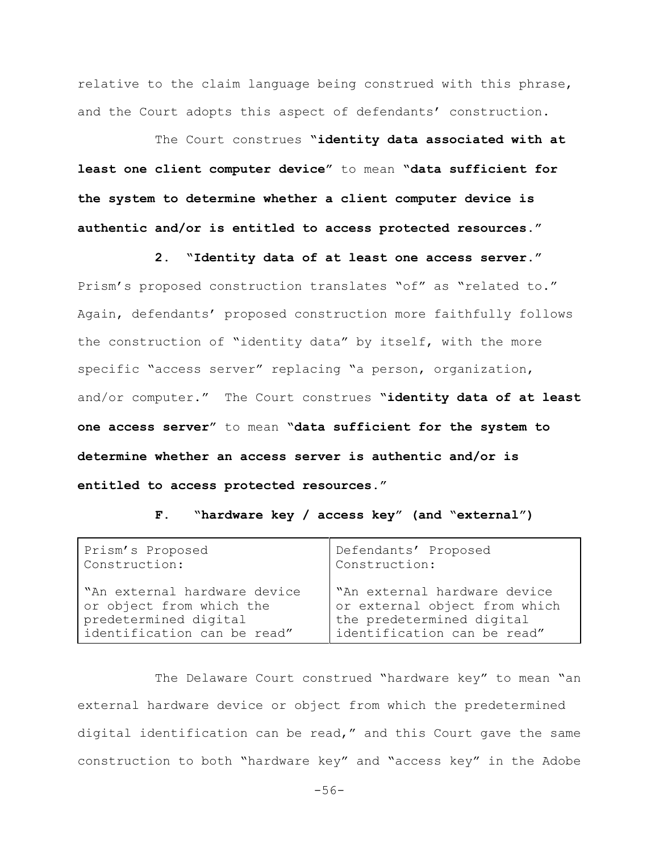relative to the claim language being construed with this phrase, and the Court adopts this aspect of defendants' construction.

The Court construes **"identity data associated with at least one client computer device"** to mean **"data sufficient for the system to determine whether a client computer device is authentic and/or is entitled to access protected resources."**

**2. "Identity data of at least one access server."**

Prism's proposed construction translates "of" as "related to." Again, defendants' proposed construction more faithfully follows the construction of "identity data" by itself, with the more specific "access server" replacing "a person, organization, and/or computer." The Court construes **"identity data of at least one access server"** to mean **"data sufficient for the system to determine whether an access server is authentic and/or is entitled to access protected resources."**

**F. "hardware key / access key" (and "external")**

| Prism's Proposed              | Defendants' Proposed          |
|-------------------------------|-------------------------------|
| Construction:                 | Construction:                 |
| "An external hardware device" | "An external hardware device  |
| or object from which the      | or external object from which |
| predetermined digital         | the predetermined digital     |
| identification can be read"   | identification can be read"   |

The Delaware Court construed "hardware key" to mean "an external hardware device or object from which the predetermined digital identification can be read," and this Court gave the same construction to both "hardware key" and "access key" in the Adobe

-56-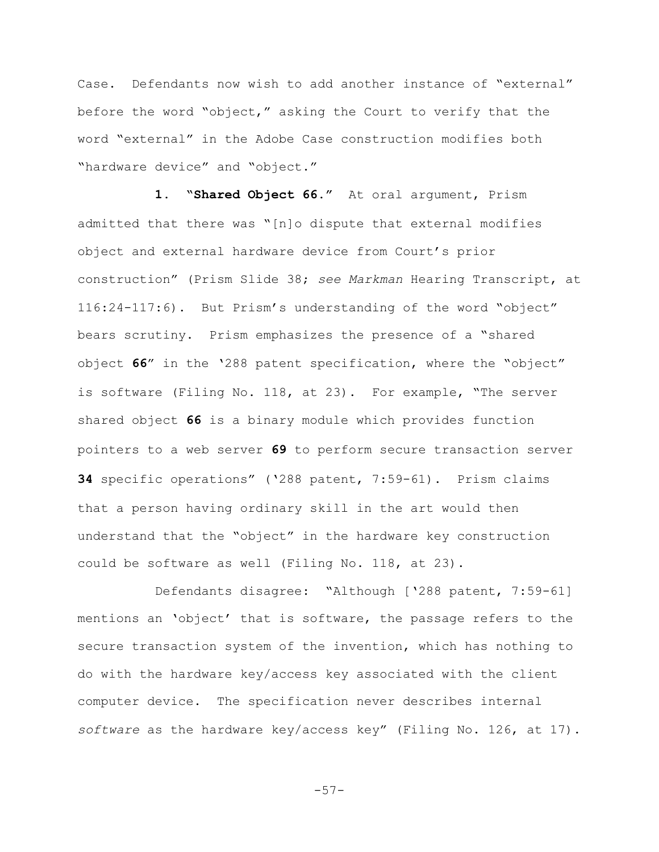Case. Defendants now wish to add another instance of "external" before the word "object," asking the Court to verify that the word "external" in the Adobe Case construction modifies both "hardware device" and "object."

**1. "Shared Object 66."** At oral argument, Prism admitted that there was "[n]o dispute that external modifies object and external hardware device from Court's prior construction" (Prism Slide 38; *see Markman* Hearing Transcript, at 116:24-117:6). But Prism's understanding of the word "object" bears scrutiny. Prism emphasizes the presence of a "shared object **66**" in the '288 patent specification, where the "object" is software (Filing No. 118, at 23). For example, "The server shared object **66** is a binary module which provides function pointers to a web server **69** to perform secure transaction server **34** specific operations" ('288 patent, 7:59-61). Prism claims that a person having ordinary skill in the art would then understand that the "object" in the hardware key construction could be software as well (Filing No. 118, at 23).

Defendants disagree: "Although ['288 patent, 7:59-61] mentions an 'object' that is software, the passage refers to the secure transaction system of the invention, which has nothing to do with the hardware key/access key associated with the client computer device. The specification never describes internal *software* as the hardware key/access key" (Filing No. 126, at 17).

-57-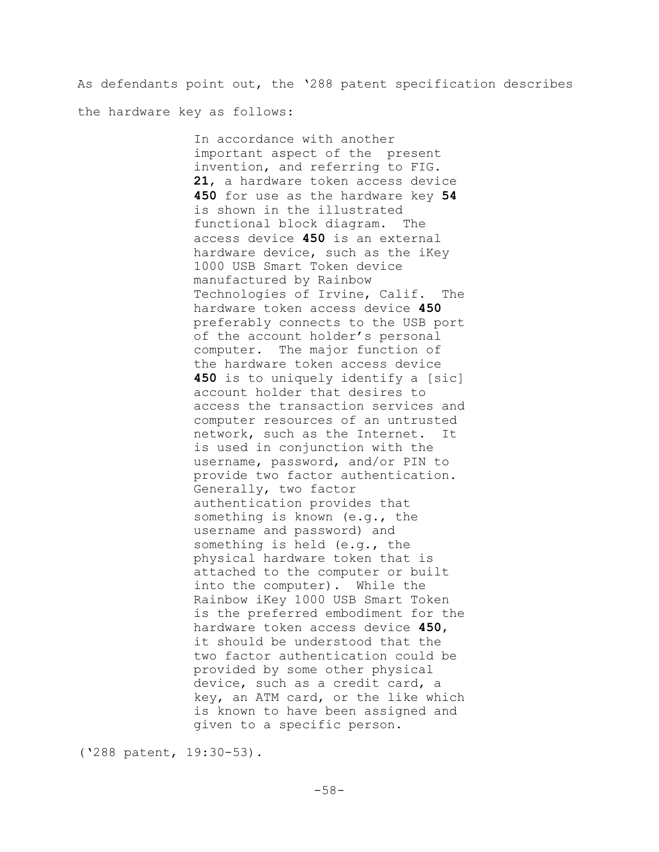As defendants point out, the '288 patent specification describes the hardware key as follows:

> In accordance with another important aspect of the present invention, and referring to FIG. **21**, a hardware token access device **450** for use as the hardware key **54** is shown in the illustrated functional block diagram. The access device **450** is an external hardware device, such as the iKey 1000 USB Smart Token device manufactured by Rainbow Technologies of Irvine, Calif. The hardware token access device **450** preferably connects to the USB port of the account holder's personal computer. The major function of the hardware token access device **450** is to uniquely identify a [sic] account holder that desires to access the transaction services and computer resources of an untrusted network, such as the Internet. It is used in conjunction with the username, password, and/or PIN to provide two factor authentication. Generally, two factor authentication provides that something is known (e.g., the username and password) and something is held (e.g., the physical hardware token that is attached to the computer or built into the computer). While the Rainbow iKey 1000 USB Smart Token is the preferred embodiment for the hardware token access device **450**, it should be understood that the two factor authentication could be provided by some other physical device, such as a credit card, a key, an ATM card, or the like which is known to have been assigned and given to a specific person.

('288 patent, 19:30-53).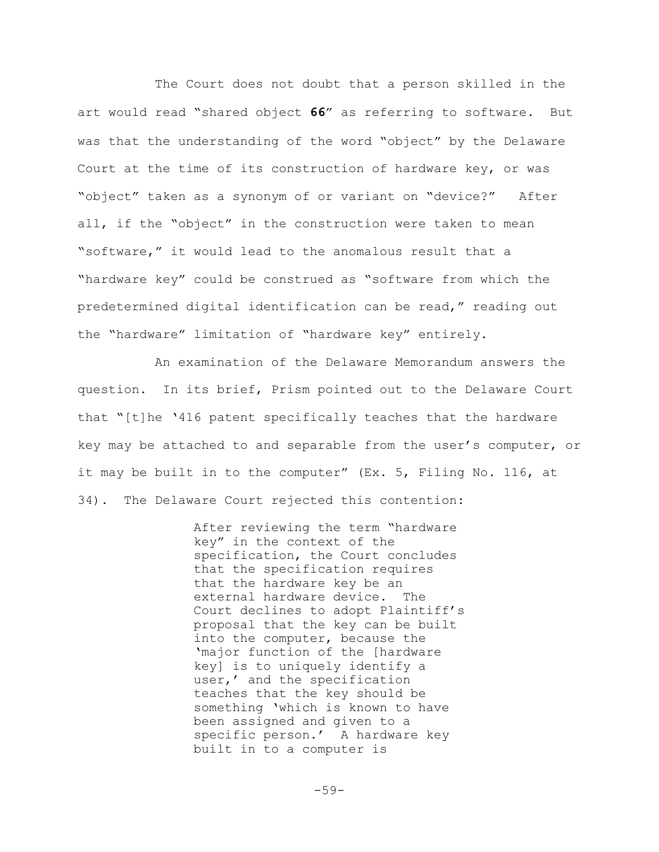The Court does not doubt that a person skilled in the art would read "shared object **66**" as referring to software. But was that the understanding of the word "object" by the Delaware Court at the time of its construction of hardware key, or was "object" taken as a synonym of or variant on "device?" After all, if the "object" in the construction were taken to mean "software," it would lead to the anomalous result that a "hardware key" could be construed as "software from which the predetermined digital identification can be read," reading out the "hardware" limitation of "hardware key" entirely.

An examination of the Delaware Memorandum answers the question. In its brief, Prism pointed out to the Delaware Court that "[t]he '416 patent specifically teaches that the hardware key may be attached to and separable from the user's computer, or it may be built in to the computer" (Ex. 5, Filing No. 116, at 34). The Delaware Court rejected this contention:

> After reviewing the term "hardware key" in the context of the specification, the Court concludes that the specification requires that the hardware key be an external hardware device. The Court declines to adopt Plaintiff's proposal that the key can be built into the computer, because the 'major function of the [hardware key] is to uniquely identify a user,' and the specification teaches that the key should be something 'which is known to have been assigned and given to a specific person.' A hardware key built in to a computer is

> > $-59-$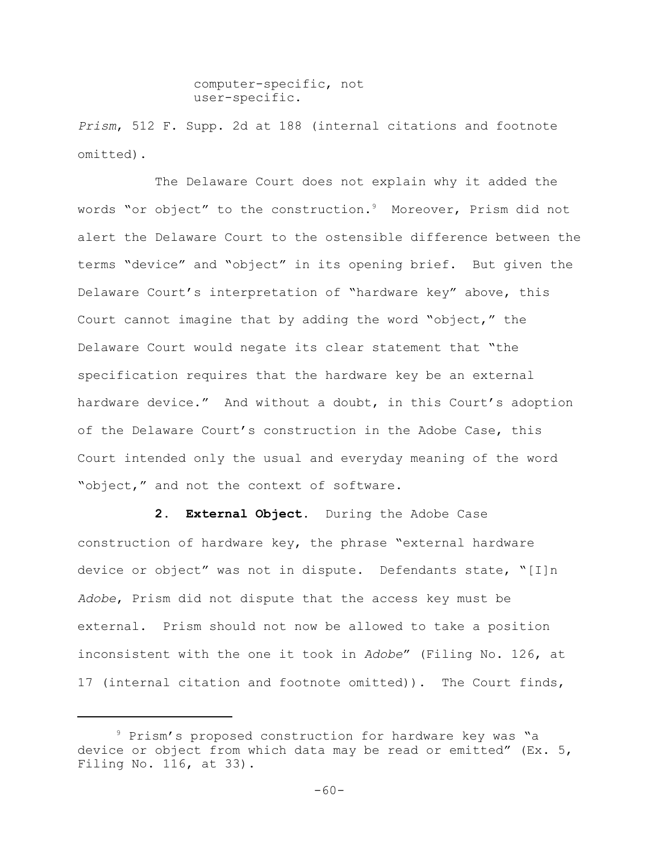computer-specific, not user-specific.

*Prism*, 512 F. Supp. 2d at 188 (internal citations and footnote omitted).

The Delaware Court does not explain why it added the words "or object" to the construction.<sup>9</sup> Moreover, Prism did not alert the Delaware Court to the ostensible difference between the terms "device" and "object" in its opening brief. But given the Delaware Court's interpretation of "hardware key" above, this Court cannot imagine that by adding the word "object," the Delaware Court would negate its clear statement that "the specification requires that the hardware key be an external hardware device." And without a doubt, in this Court's adoption of the Delaware Court's construction in the Adobe Case, this Court intended only the usual and everyday meaning of the word "object," and not the context of software.

**2. External Object.** During the Adobe Case construction of hardware key, the phrase "external hardware device or object" was not in dispute. Defendants state, "[I]n *Adobe*, Prism did not dispute that the access key must be external. Prism should not now be allowed to take a position inconsistent with the one it took in *Adobe*" (Filing No. 126, at 17 (internal citation and footnote omitted)). The Court finds,

<sup>9</sup> Prism's proposed construction for hardware key was "a device or object from which data may be read or emitted" (Ex. 5, Filing No. 116, at 33).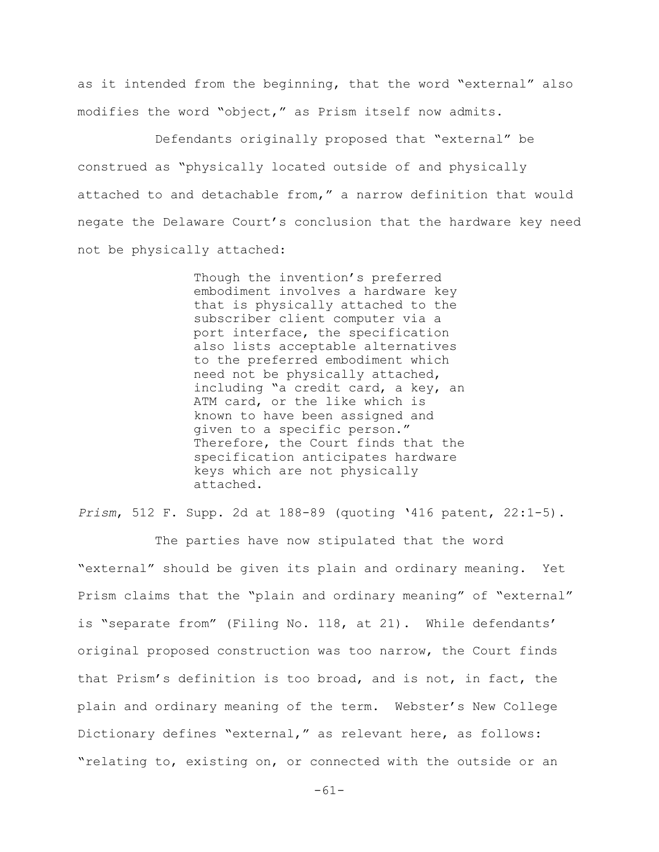as it intended from the beginning, that the word "external" also modifies the word "object," as Prism itself now admits.

Defendants originally proposed that "external" be construed as "physically located outside of and physically attached to and detachable from," a narrow definition that would negate the Delaware Court's conclusion that the hardware key need not be physically attached:

> Though the invention's preferred embodiment involves a hardware key that is physically attached to the subscriber client computer via a port interface, the specification also lists acceptable alternatives to the preferred embodiment which need not be physically attached, including "a credit card, a key, an ATM card, or the like which is known to have been assigned and given to a specific person." Therefore, the Court finds that the specification anticipates hardware keys which are not physically attached.

*Prism*, 512 F. Supp. 2d at 188-89 (quoting '416 patent, 22:1-5).

The parties have now stipulated that the word "external" should be given its plain and ordinary meaning. Yet Prism claims that the "plain and ordinary meaning" of "external" is "separate from" (Filing No. 118, at 21). While defendants' original proposed construction was too narrow, the Court finds that Prism's definition is too broad, and is not, in fact, the plain and ordinary meaning of the term. Webster's New College Dictionary defines "external," as relevant here, as follows: "relating to, existing on, or connected with the outside or an

-61-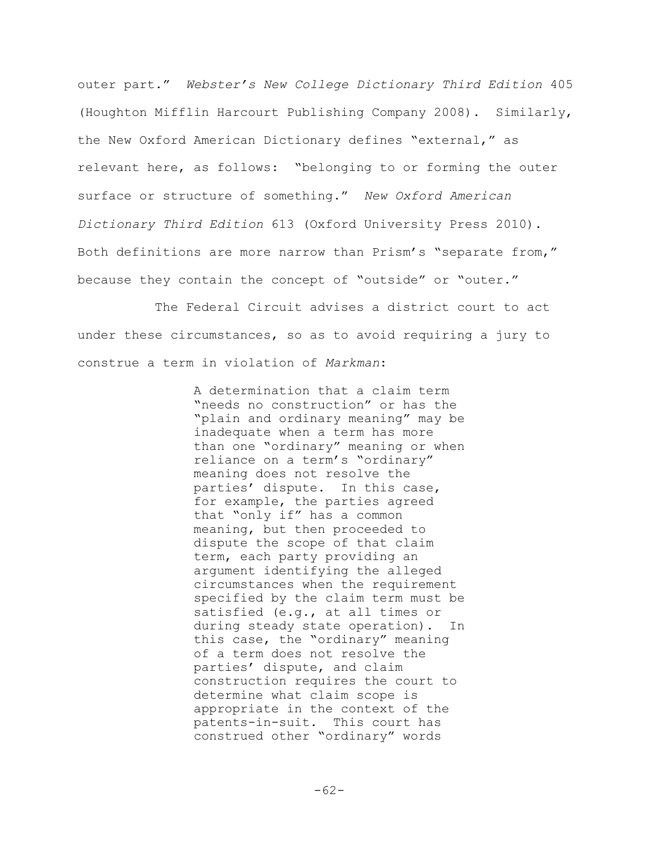outer part." *Webster's New College Dictionary Third Edition* 405 (Houghton Mifflin Harcourt Publishing Company 2008). Similarly, the New Oxford American Dictionary defines "external," as relevant here, as follows: "belonging to or forming the outer surface or structure of something." *New Oxford American Dictionary Third Edition* 613 (Oxford University Press 2010). Both definitions are more narrow than Prism's "separate from," because they contain the concept of "outside" or "outer."

The Federal Circuit advises a district court to act under these circumstances, so as to avoid requiring a jury to construe a term in violation of *Markman*:

> A determination that a claim term "needs no construction" or has the "plain and ordinary meaning" may be inadequate when a term has more than one "ordinary" meaning or when reliance on a term's "ordinary" meaning does not resolve the parties' dispute. In this case, for example, the parties agreed that "only if" has a common meaning, but then proceeded to dispute the scope of that claim term, each party providing an argument identifying the alleged circumstances when the requirement specified by the claim term must be satisfied (e.g., at all times or during steady state operation). In this case, the "ordinary" meaning of a term does not resolve the parties' dispute, and claim construction requires the court to determine what claim scope is appropriate in the context of the patents-in-suit. This court has construed other "ordinary" words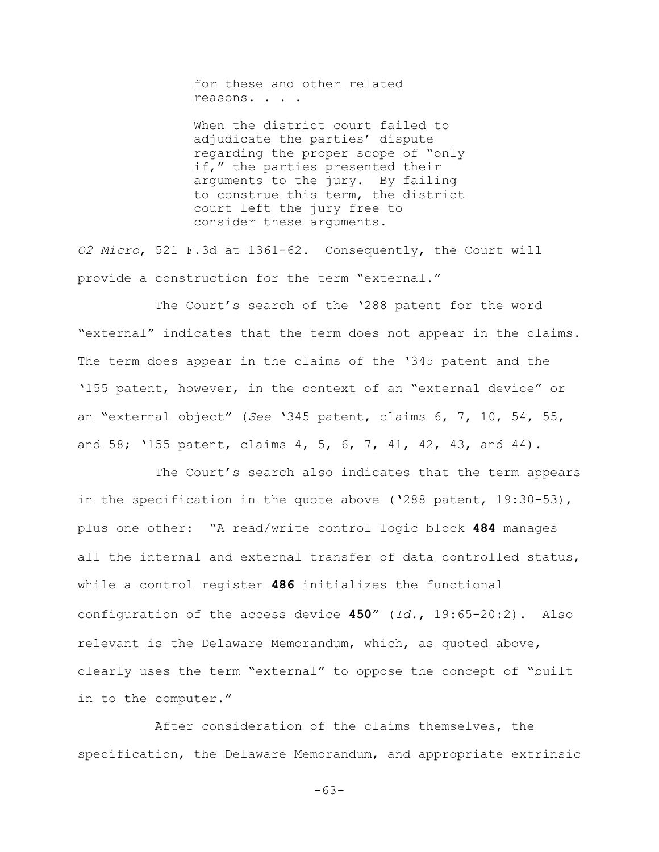for these and other related reasons. . . .

When the district court failed to adjudicate the parties' dispute regarding the proper scope of "only if," the parties presented their arguments to the jury. By failing to construe this term, the district court left the jury free to consider these arguments.

*O2 Micro*, 521 F.3d at 1361-62. Consequently, the Court will provide a construction for the term "external."

The Court's search of the '288 patent for the word "external" indicates that the term does not appear in the claims. The term does appear in the claims of the '345 patent and the '155 patent, however, in the context of an "external device" or an "external object" (*See* '345 patent, claims 6, 7, 10, 54, 55, and 58; '155 patent, claims 4, 5, 6, 7, 41, 42, 43, and 44).

The Court's search also indicates that the term appears in the specification in the quote above ('288 patent, 19:30-53), plus one other: "A read/write control logic block **484** manages all the internal and external transfer of data controlled status, while a control register **486** initializes the functional configuration of the access device **450**" (*Id.*, 19:65-20:2). Also relevant is the Delaware Memorandum, which, as quoted above, clearly uses the term "external" to oppose the concept of "built in to the computer."

After consideration of the claims themselves, the specification, the Delaware Memorandum, and appropriate extrinsic

-63-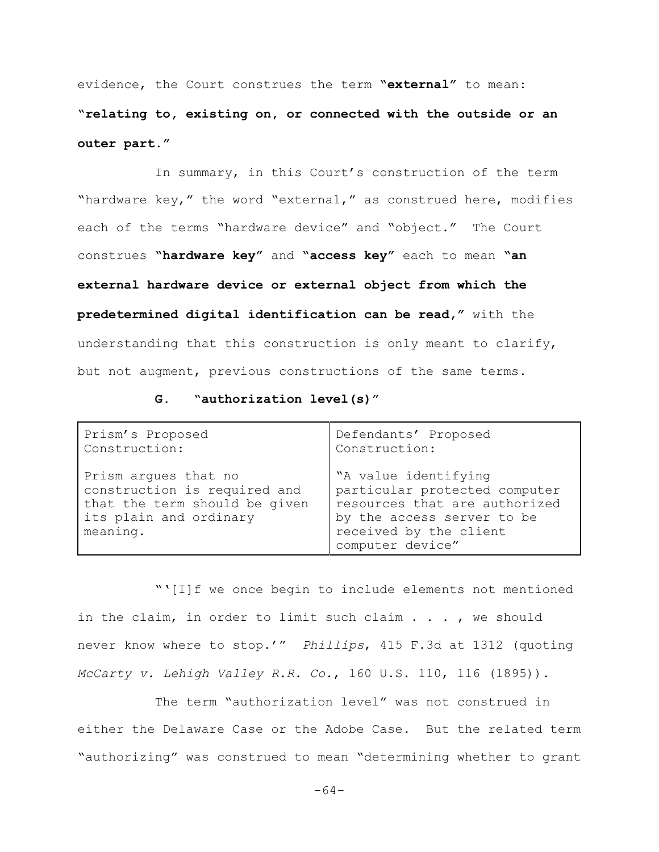evidence, the Court construes the term **"external"** to mean:

**"relating to, existing on, or connected with the outside or an outer part."**

In summary, in this Court's construction of the term "hardware key," the word "external," as construed here, modifies each of the terms "hardware device" and "object." The Court construes **"hardware key"** and **"access key"** each to mean **"an external hardware device or external object from which the predetermined digital identification can be read,"** with the understanding that this construction is only meant to clarify, but not augment, previous constructions of the same terms.

## **G. "authorization level(s)"**

| Prism's Proposed                                                                                                            | Defendants' Proposed                                                                                                                                               |
|-----------------------------------------------------------------------------------------------------------------------------|--------------------------------------------------------------------------------------------------------------------------------------------------------------------|
| Construction:                                                                                                               | Construction:                                                                                                                                                      |
| Prism arques that no<br>construction is required and<br>that the term should be given<br>its plain and ordinary<br>meaning. | "A value identifying<br>particular protected computer<br>resources that are authorized<br>by the access server to be<br>received by the client<br>computer device" |

"'[I]f we once begin to include elements not mentioned in the claim, in order to limit such claim . . . , we should never know where to stop.'" *Phillips*, 415 F.3d at 1312 (quoting *McCarty v. Lehigh Valley R.R. Co.*, 160 U.S. 110, 116 (1895)).

The term "authorization level" was not construed in either the Delaware Case or the Adobe Case. But the related term "authorizing" was construed to mean "determining whether to grant

-64-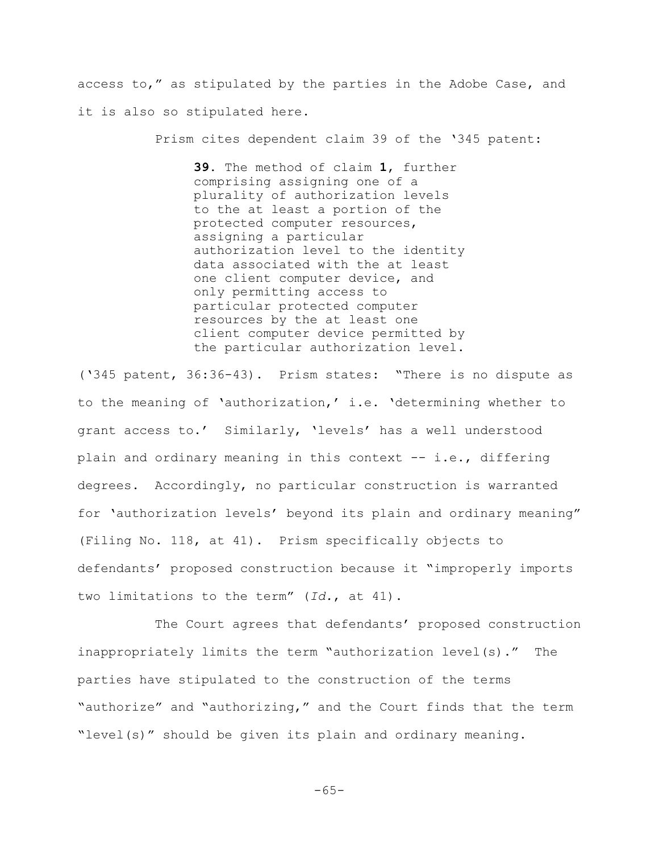access to," as stipulated by the parties in the Adobe Case, and it is also so stipulated here.

Prism cites dependent claim 39 of the '345 patent:

**39**. The method of claim **1**, further comprising assigning one of a plurality of authorization levels to the at least a portion of the protected computer resources, assigning a particular authorization level to the identity data associated with the at least one client computer device, and only permitting access to particular protected computer resources by the at least one client computer device permitted by the particular authorization level.

('345 patent, 36:36-43). Prism states: "There is no dispute as to the meaning of 'authorization,' i.e. 'determining whether to grant access to.' Similarly, 'levels' has a well understood plain and ordinary meaning in this context -- i.e., differing degrees. Accordingly, no particular construction is warranted for 'authorization levels' beyond its plain and ordinary meaning" (Filing No. 118, at 41). Prism specifically objects to defendants' proposed construction because it "improperly imports two limitations to the term" (*Id.*, at 41).

The Court agrees that defendants' proposed construction inappropriately limits the term "authorization level(s)." The parties have stipulated to the construction of the terms "authorize" and "authorizing," and the Court finds that the term "level(s)" should be given its plain and ordinary meaning.

 $-65-$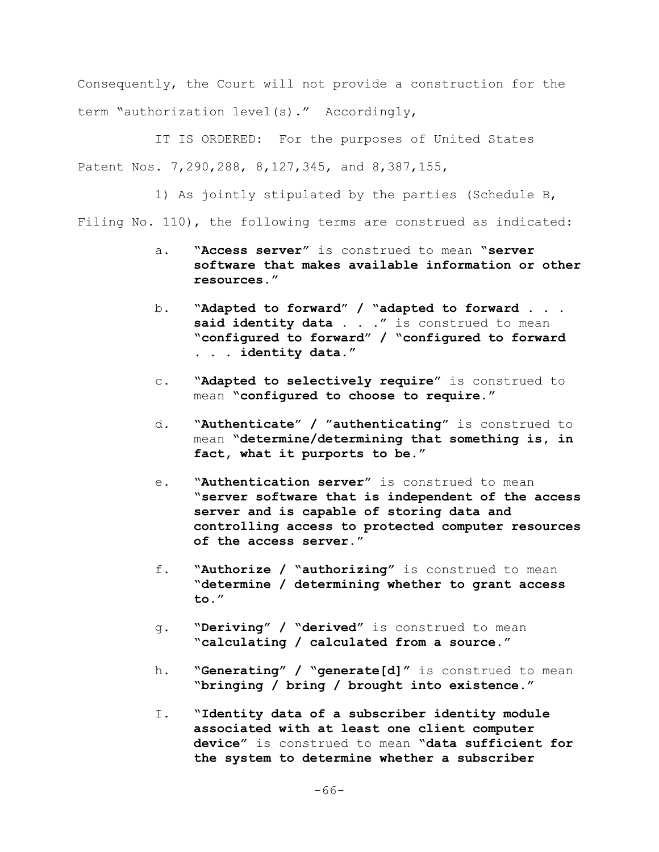Consequently, the Court will not provide a construction for the term "authorization level(s)." Accordingly,

IT IS ORDERED: For the purposes of United States Patent Nos. 7,290,288, 8,127,345, and 8,387,155,

1) As jointly stipulated by the parties (Schedule B,

Filing No. 110), the following terms are construed as indicated:

- a. **"Access server"** is construed to mean **"server software that makes available information or other resources."**
- b. **"Adapted to forward" / "adapted to forward . . .** said identity data . . ." is construed to mean **"configured to forward" / "configured to forward . . . identity data."**
- c. **"Adapted to selectively require"** is construed to mean **"configured to choose to require."**
- d. **"Authenticate" / "authenticating"** is construed to mean **"determine/determining that something is, in fact, what it purports to be."**
- e. **"Authentication server"** is construed to mean **"server software that is independent of the access server and is capable of storing data and controlling access to protected computer resources of the access server."**
- f. **"Authorize / "authorizing"** is construed to mean **"determine / determining whether to grant access to."**
- g. **"Deriving" / "derived"** is construed to mean **"calculating / calculated from a source."**
- h. **"Generating" / "generate[d]"** is construed to mean **"bringing / bring / brought into existence."**
- I. **"Identity data of a subscriber identity module associated with at least one client computer device"** is construed to mean **"data sufficient for the system to determine whether a subscriber**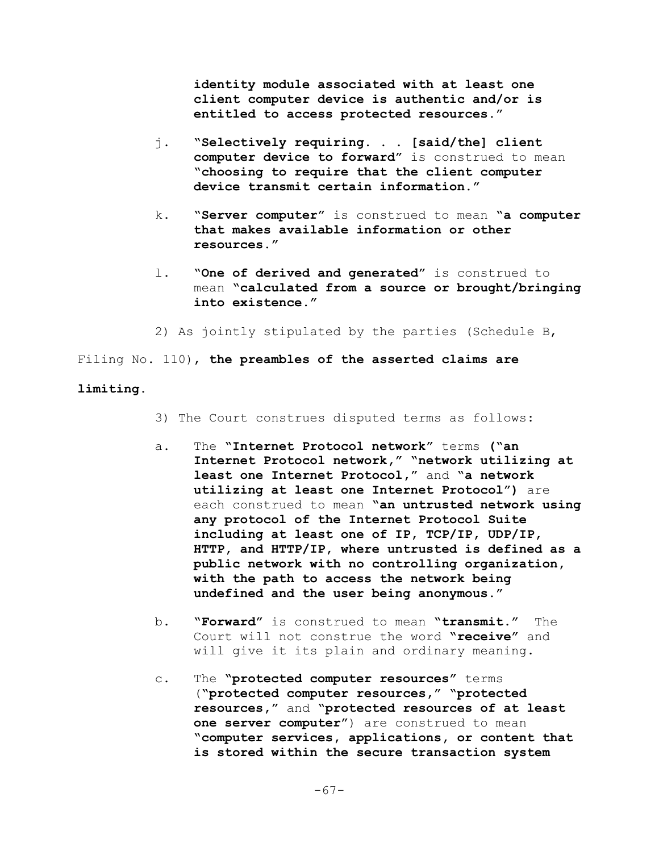**identity module associated with at least one client computer device is authentic and/or is entitled to access protected resources."**

- j. **"Selectively requiring. . . [said/the] client computer device to forward"** is construed to mean **"choosing to require that the client computer device transmit certain information."**
- k. **"Server computer"** is construed to mean **"a computer that makes available information or other resources."**
- l. **"One of derived and generated"** is construed to mean **"calculated from a source or brought/bringing into existence."**
- 2) As jointly stipulated by the parties (Schedule B,

Filing No. 110), **the preambles of the asserted claims are**

### **limiting.**

- 3) The Court construes disputed terms as follows:
- a. The **"Internet Protocol network"** terms **("an Internet Protocol network," "network utilizing at least one Internet Protocol,"** and **"a network utilizing at least one Internet Protocol")** are each construed to mean **"an untrusted network using any protocol of the Internet Protocol Suite including at least one of IP, TCP/IP, UDP/IP, HTTP, and HTTP/IP, where untrusted is defined as a public network with no controlling organization, with the path to access the network being undefined and the user being anonymous."**
- b. **"Forward"** is construed to mean **"transmit."** The Court will not construe the word **"receive"** and will give it its plain and ordinary meaning.
- c. The **"protected computer resources"** terms (**"protected computer resources," "protected resources,"** and **"protected resources of at least one server computer"**) are construed to mean **"computer services, applications, or content that is stored within the secure transaction system**